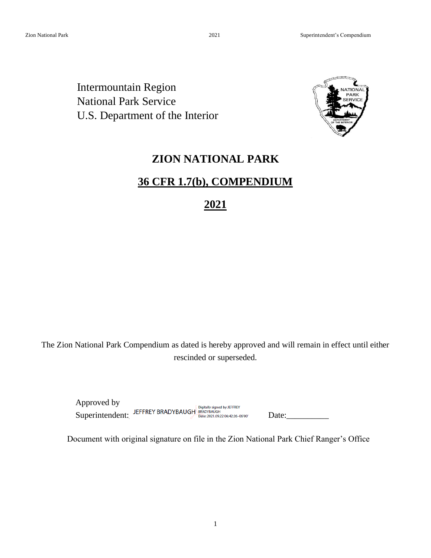Intermountain Region National Park Service U.S. Department of the Interior



# **ZION NATIONAL PARK**

# **36 CFR 1.7(b), COMPENDIUM**

**2021** 

The Zion National Park Compendium as dated is hereby approved and will remain in effect until either rescinded or superseded.

Approved by Superintendent: JEFFREY BRADYBAUGH BRADYBAUGH Digitally signed by JEFFREY Date: \_\_\_\_\_\_\_\_\_\_\_\_\_\_\_\_\_\_\_\_\_\_\_\_\_\_\_\_\_\_<br>Superintendent: Determined by Date: 2021.09.22 06:42:26 -06:00

Document with original signature on file in the Zion National Park Chief Ranger's Office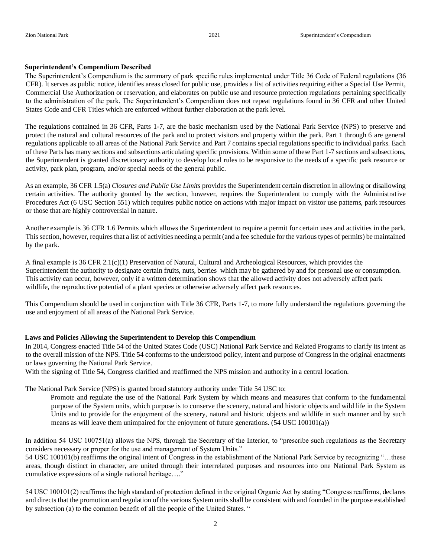#### **Superintendent's Compendium Described**

The Superintendent's Compendium is the summary of park specific rules implemented under Title 36 Code of Federal regulations (36 CFR). It serves as public notice, identifies areas closed for public use, provides a list of activities requiring either a Special Use Permit, Commercial Use Authorization or reservation, and elaborates on public use and resource protection regulations pertaining specifically to the administration of the park. The Superintendent's Compendium does not repeat regulations found in 36 CFR and other United States Code and CFR Titles which are enforced without further elaboration at the park level.

The regulations contained in 36 CFR, Parts 1-7, are the basic mechanism used by the National Park Service (NPS) to preserve and protect the natural and cultural resources of the park and to protect visitors and property within the park. Part 1 through 6 are general regulations applicable to all areas of the National Park Service and Part 7 contains special regulations specific to individual parks. Each of these Parts has many sections and subsections articulating specific provisions. Within some of these Part 1-7 sections and subsections, the Superintendent is granted discretionary authority to develop local rules to be responsive to the needs of a specific park resource or activity, park plan, program, and/or special needs of the general public.

As an example, 36 CFR 1.5(a) *Closures and Public Use Limits* provides the Superintendent certain discretion in allowing or disallowing certain activities. The authority granted by the section, however, requires the Superintendent to comply with the Administrative Procedures Act (6 USC Section 551) which requires public notice on actions with major impact on visitor use patterns, park resources or those that are highly controversial in nature.

Another example is 36 CFR 1.6 Permits which allows the Superintendent to require a permit for certain uses and activities in the park. This section, however, requires that a list of activities needing a permit (and a fee schedule for the various types of permits) be maintained by the park.

A final example is 36 CFR 2.1(c)(1) Preservation of Natural, Cultural and Archeological Resources, which provides the Superintendent the authority to designate certain fruits, nuts, berries which may be gathered by and for personal use or consumption. This activity can occur, however, only if a written determination shows that the allowed activity does not adversely affect park wildlife, the reproductive potential of a plant species or otherwise adversely affect park resources.

This Compendium should be used in conjunction with Title 36 CFR, Parts 1-7, to more fully understand the regulations governing the use and enjoyment of all areas of the National Park Service.

#### **Laws and Policies Allowing the Superintendent to Develop this Compendium**

In 2014, Congress enacted Title 54 of the United States Code (USC) National Park Service and Related Programs to clarify its intent as to the overall mission of the NPS. Title 54 conforms to the understood policy, intent and purpose of Congress in the original enactments or laws governing the National Park Service.

With the signing of Title 54, Congress clarified and reaffirmed the NPS mission and authority in a central location.

The National Park Service (NPS) is granted broad statutory authority under Title 54 USC to:

Promote and regulate the use of the National Park System by which means and measures that conform to the fundamental purpose of the System units, which purpose is to conserve the scenery, natural and historic objects and wild life in the System Units and to provide for the enjoyment of the scenery, natural and historic objects and wildlife in such manner and by such means as will leave them unimpaired for the enjoyment of future generations. (54 USC 100101(a))

In addition 54 USC 100751(a) allows the NPS, through the Secretary of the Interior, to "prescribe such regulations as the Secretary considers necessary or proper for the use and management of System Units."

54 USC 100101(b) reaffirms the original intent of Congress in the establishment of the National Park Service by recognizing "…these areas, though distinct in character, are united through their interrelated purposes and resources into one National Park System as cumulative expressions of a single national heritage…."

54 USC 100101(2) reaffirms the high standard of protection defined in the original Organic Act by stating "Congress reaffirms, declares and directs that the promotion and regulation of the various System units shall be consistent with and founded in the purpose established by subsection (a) to the common benefit of all the people of the United States. "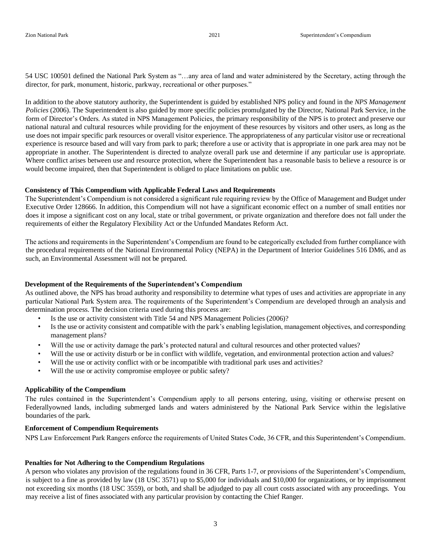54 USC 100501 defined the National Park System as "…any area of land and water administered by the Secretary, acting through the director, for park, monument, historic, parkway, recreational or other purposes."

In addition to the above statutory authority, the Superintendent is guided by established NPS policy and found in the *NPS Management Policies* (2006). The Superintendent is also guided by more specific policies promulgated by the Director, National Park Service, in the form of Director's Orders. As stated in NPS Management Policies, the primary responsibility of the NPS is to protect and preserve our national natural and cultural resources while providing for the enjoyment of these resources by visitors and other users, as long as the use does not impair specific park resources or overall visitor experience. The appropriateness of any particular visitor use or recreational experience is resource based and will vary from park to park; therefore a use or activity that is appropriate in one park area may not be appropriate in another. The Superintendent is directed to analyze overall park use and determine if any particular use is appropriate. Where conflict arises between use and resource protection, where the Superintendent has a reasonable basis to believe a resource is or would become impaired, then that Superintendent is obliged to place limitations on public use.

#### **Consistency of This Compendium with Applicable Federal Laws and Requirements**

The Superintendent's Compendium is not considered a significant rule requiring review by the Office of Management and Budget under Executive Order 128666. In addition, this Compendium will not have a significant economic effect on a number of small entities nor does it impose a significant cost on any local, state or tribal government, or private organization and therefore does not fall under the requirements of either the Regulatory Flexibility Act or the Unfunded Mandates Reform Act.

The actions and requirements in the Superintendent's Compendium are found to be categorically excluded from further compliance with the procedural requirements of the National Environmental Policy (NEPA) in the Department of Interior Guidelines 516 DM6, and as such, an Environmental Assessment will not be prepared.

#### **Development of the Requirements of the Superintendent's Compendium**

As outlined above, the NPS has broad authority and responsibility to determine what types of uses and activities are appropriate in any particular National Park System area. The requirements of the Superintendent's Compendium are developed through an analysis and determination process. The decision criteria used during this process are:

- Is the use or activity consistent with Title 54 and NPS Management Policies (2006)?
- Is the use or activity consistent and compatible with the park's enabling legislation, management objectives, and corresponding management plans?
- Will the use or activity damage the park's protected natural and cultural resources and other protected values?
- Will the use or activity disturb or be in conflict with wildlife, vegetation, and environmental protection action and values?
- Will the use or activity conflict with or be incompatible with traditional park uses and activities?
- Will the use or activity compromise employee or public safety?

#### **Applicability of the Compendium**

The rules contained in the Superintendent's Compendium apply to all persons entering, using, visiting or otherwise present on Federallyowned lands, including submerged lands and waters administered by the National Park Service within the legislative boundaries of the park.

#### **Enforcement of Compendium Requirements**

NPS Law Enforcement Park Rangers enforce the requirements of United States Code, 36 CFR, and this Superintendent's Compendium.

#### **Penalties for Not Adhering to the Compendium Regulations**

A person who violates any provision of the regulations found in 36 CFR, Parts 1-7, or provisions of the Superintendent's Compendium, is subject to a fine as provided by law (18 USC 3571) up to \$5,000 for individuals and \$10,000 for organizations, or by imprisonment not exceeding six months (18 USC 3559), or both, and shall be adjudged to pay all court costs associated with any proceedings. You may receive a list of fines associated with any particular provision by contacting the Chief Ranger.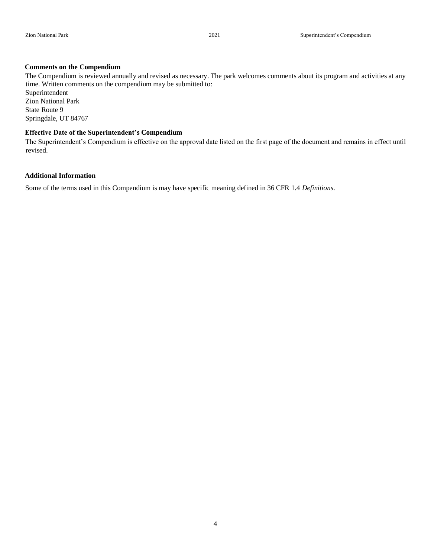#### **Comments on the Compendium**

The Compendium is reviewed annually and revised as necessary. The park welcomes comments about its program and activities at any time. Written comments on the compendium may be submitted to:

Superintendent Zion National Park State Route 9 Springdale, UT 84767

#### **Effective Date of the Superintendent's Compendium**

The Superintendent's Compendium is effective on the approval date listed on the first page of the document and remains in effect until revised.

#### **Additional Information**

Some of the terms used in this Compendium is may have specific meaning defined in 36 CFR 1.4 *Definitions*.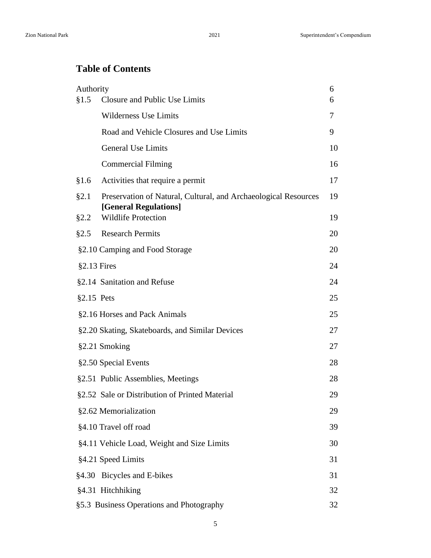# **Table of Contents**

| Authority<br>§1.5 | Closure and Public Use Limits                                                            | 6<br>6 |
|-------------------|------------------------------------------------------------------------------------------|--------|
|                   | <b>Wilderness Use Limits</b>                                                             | 7      |
|                   | Road and Vehicle Closures and Use Limits                                                 | 9      |
|                   | <b>General Use Limits</b>                                                                | 10     |
|                   | <b>Commercial Filming</b>                                                                | 16     |
| §1.6              | Activities that require a permit                                                         | 17     |
| §2.1              | Preservation of Natural, Cultural, and Archaeological Resources<br>[General Regulations] | 19     |
| §2.2              | <b>Wildlife Protection</b>                                                               | 19     |
| §2.5              | <b>Research Permits</b>                                                                  | 20     |
|                   | §2.10 Camping and Food Storage                                                           | 20     |
| $§2.13$ Fires     |                                                                                          | 24     |
|                   | §2.14 Sanitation and Refuse                                                              | 24     |
| $§2.15$ Pets      |                                                                                          | 25     |
|                   | §2.16 Horses and Pack Animals                                                            | 25     |
|                   | §2.20 Skating, Skateboards, and Similar Devices                                          | 27     |
|                   | §2.21 Smoking                                                                            | 27     |
|                   | §2.50 Special Events                                                                     | 28     |
|                   | §2.51 Public Assemblies, Meetings                                                        | 28     |
|                   | §2.52 Sale or Distribution of Printed Material                                           | 29     |
|                   | §2.62 Memorialization                                                                    | 29     |
|                   | §4.10 Travel off road                                                                    | 39     |
|                   | §4.11 Vehicle Load, Weight and Size Limits                                               | 30     |
|                   | §4.21 Speed Limits                                                                       | 31     |
|                   | §4.30 Bicycles and E-bikes                                                               | 31     |
|                   | §4.31 Hitchhiking                                                                        | 32     |
|                   | §5.3 Business Operations and Photography                                                 | 32     |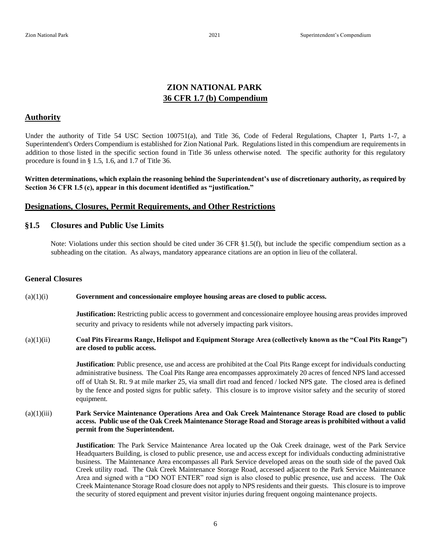## **ZION NATIONAL PARK 36 CFR 1.7 (b) Compendium**

#### **Authority**

Under the authority of Title 54 USC Section 100751(a), and Title 36, Code of Federal Regulations, Chapter 1, Parts 1-7, a Superintendent's Orders Compendium is established for Zion National Park. Regulations listed in this compendium are requirements in addition to those listed in the specific section found in Title 36 unless otherwise noted. The specific authority for this regulatory procedure is found in § 1.5, 1.6, and 1.7 of Title 36.

**Written determinations, which explain the reasoning behind the Superintendent's use of discretionary authority, as required by Section 36 CFR 1.5 (c), appear in this document identified as "justification."** 

#### **Designations, Closures, Permit Requirements, and Other Restrictions**

#### **§1.5 Closures and Public Use Limits**

Note: Violations under this section should be cited under 36 CFR §1.5(f), but include the specific compendium section as a subheading on the citation. As always, mandatory appearance citations are an option in lieu of the collateral.

#### **General Closures**

#### (a)(1)(i) **Government and concessionaire employee housing areas are closed to public access.**

**Justification:** Restricting public access to government and concessionaire employee housing areas provides improved security and privacy to residents while not adversely impacting park visitors.

#### (a)(1)(ii) **Coal Pits Firearms Range, Helispot and Equipment Storage Area (collectively known as the "Coal Pits Range") are closed to public access.**

**Justification**: Public presence, use and access are prohibited at the Coal Pits Range except for individuals conducting administrative business. The Coal Pits Range area encompasses approximately 20 acres of fenced NPS land accessed off of Utah St. Rt. 9 at mile marker 25, via small dirt road and fenced / locked NPS gate. The closed area is defined by the fence and posted signs for public safety. This closure is to improve visitor safety and the security of stored equipment.

#### (a)(1)(iii) **Park Service Maintenance Operations Area and Oak Creek Maintenance Storage Road are closed to public access. Public use of the Oak Creek Maintenance Storage Road and Storage areas is prohibited without a valid permit from the Superintendent.**

**Justification**: The Park Service Maintenance Area located up the Oak Creek drainage, west of the Park Service Headquarters Building, is closed to public presence, use and access except for individuals conducting administrative business. The Maintenance Area encompasses all Park Service developed areas on the south side of the paved Oak Creek utility road. The Oak Creek Maintenance Storage Road, accessed adjacent to the Park Service Maintenance Area and signed with a "DO NOT ENTER" road sign is also closed to public presence, use and access. The Oak Creek Maintenance Storage Road closure does not apply to NPS residents and their guests. This closure is to improve the security of stored equipment and prevent visitor injuries during frequent ongoing maintenance projects.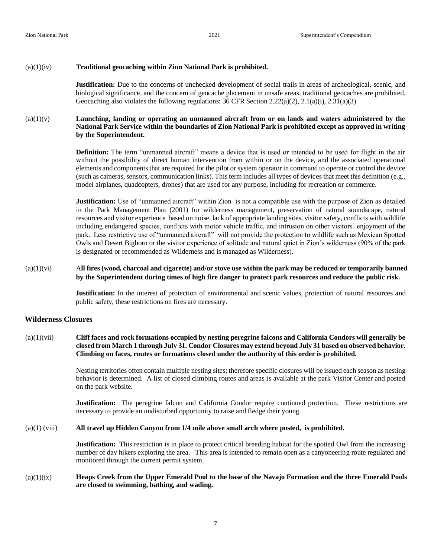#### (a)(1)(iv) **Traditional geocaching within Zion National Park is prohibited.**

**Justification:** Due to the concerns of unchecked development of social trails in areas of archeological, scenic, and biological significance, and the concern of geocache placement in unsafe areas, traditional geocaches are prohibited. Geocaching also violates the following regulations: 36 CFR Section 2.22( $a(2)$ , 2.1( $a(1)$ , 2.31( $a(3)$ )

#### (a)(1)(v) **Launching, landing or operating an unmanned aircraft from or on lands and waters administered by the National Park Service within the boundaries of Zion National Park is prohibited except as approved in writing by the Superintendent.**

**Definition:** The term "unmanned aircraft" means a device that is used or intended to be used for flight in the air without the possibility of direct human intervention from within or on the device, and the associated operational elements and components that are required for the pilot or system operator in command to operate or control the device (such as cameras, sensors, communication links). This term includes all types of devices that meet this definition (e.g., model airplanes, quadcopters, drones) that are used for any purpose, including for recreation or commerce.

**Justification:** Use of "unmanned aircraft" within Zion is not a compatible use with the purpose of Zion as detailed in the Park Management Plan (2001) for wilderness management, preservation of natural soundscape, natural resources and visitor experience based on noise, lack of appropriate landing sites, visitor safety, conflicts with wildlife including endangered species, conflicts with motor vehicle traffic, and intrusion on other visitors' enjoyment of the park. Less restrictive use of "unmanned aircraft" will not provide the protection to wildlife such as Mexican Spotted Owls and Desert Bighorn or the visitor experience of solitude and natural quiet in Zion's wilderness (90% of the park is designated or recommended as Wilderness and is managed as Wilderness).

#### (a)(1)(vi) A**ll fires (wood, charcoal and cigarette) and/or stove use within the park may be reduced or temporarily banned by the Superintendent during times of high fire danger to protect park resources and reduce the public risk.**

**Justification:** In the interest of protection of environmental and scenic values, protection of natural resources and public safety, these restrictions on fires are necessary.

#### **Wilderness Closures**

#### (a)(1)(vii) **Cliff faces and rock formations occupied by nesting peregrine falcons and California Condors will generally be closed from March 1 through July 31. Condor Closures may extend beyond July 31 based on observed behavior. Climbing on faces, routes or formations closed under the authority of this order is prohibited.**

Nesting territories often contain multiple nesting sites; therefore specific closures will be issued each season as nesting behavior is determined. A list of closed climbing routes and areas is available at the park Visitor Center and posted on the park website.

**Justification:** The peregrine falcon and California Condor require continued protection. These restrictions are necessary to provide an undisturbed opportunity to raise and fledge their young.

#### (a)(1) (viii) **All travel up Hidden Canyon from 1/4 mile above small arch where posted, is prohibited.**

**Justification:** This restriction is in place to protect critical breeding habitat for the spotted Owl from the increasing number of day hikers exploring the area. This area is intended to remain open as a canyoneering route regulated and monitored through the current permit system.

#### (a)(1)(ix) **Heaps Creek from the Upper Emerald Pool to the base of the Navajo Formation and the three Emerald Pools are closed to swimming, bathing, and wading.**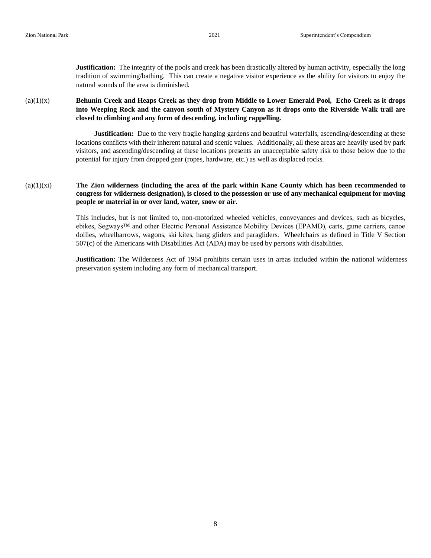**Justification:** The integrity of the pools and creek has been drastically altered by human activity, especially the long tradition of swimming/bathing. This can create a negative visitor experience as the ability for visitors to enjoy the natural sounds of the area is diminished.

(a)(1)(x) **Behunin Creek and Heaps Creek as they drop from Middle to Lower Emerald Pool, Echo Creek as it drops into Weeping Rock and the canyon south of Mystery Canyon as it drops onto the Riverside Walk trail are closed to climbing and any form of descending, including rappelling.** 

> **Justification:** Due to the very fragile hanging gardens and beautiful waterfalls, ascending/descending at these locations conflicts with their inherent natural and scenic values. Additionally, all these areas are heavily used by park visitors, and ascending/descending at these locations presents an unacceptable safety risk to those below due to the potential for injury from dropped gear (ropes, hardware, etc.) as well as displaced rocks.

#### (a)(1)(xi) **The Zion wilderness (including the area of the park within Kane County which has been recommended to congress for wilderness designation), is closed to the possession or use of any mechanical equipment for moving people or material in or over land, water, snow or air.**

This includes, but is not limited to, non-motorized wheeled vehicles, conveyances and devices, such as bicycles, ebikes, Segways™ and other Electric Personal Assistance Mobility Devices (EPAMD), carts, game carriers, canoe dollies, wheelbarrows, wagons, ski kites, hang gliders and paragliders. Wheelchairs as defined in Title V Section 507(c) of the Americans with Disabilities Act (ADA) may be used by persons with disabilities.

**Justification:** The Wilderness Act of 1964 prohibits certain uses in areas included within the national wilderness preservation system including any form of mechanical transport.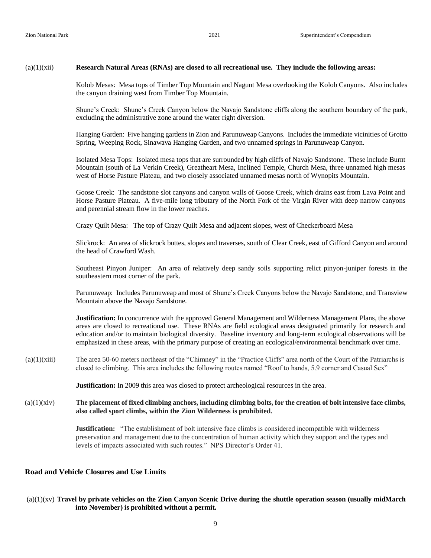#### (a)(1)(xii) **Research Natural Areas (RNAs) are closed to all recreational use. They include the following areas:**

Kolob Mesas: Mesa tops of Timber Top Mountain and Nagunt Mesa overlooking the Kolob Canyons. Also includes the canyon draining west from Timber Top Mountain.

Shune's Creek: Shune's Creek Canyon below the Navajo Sandstone cliffs along the southern boundary of the park, excluding the administrative zone around the water right diversion.

Hanging Garden: Five hanging gardens in Zion and Parunuweap Canyons. Includes the immediate vicinities of Grotto Spring, Weeping Rock, Sinawava Hanging Garden, and two unnamed springs in Parunuweap Canyon.

Isolated Mesa Tops: Isolated mesa tops that are surrounded by high cliffs of Navajo Sandstone. These include Burnt Mountain (south of La Verkin Creek), Greatheart Mesa, Inclined Temple, Church Mesa, three unnamed high mesas west of Horse Pasture Plateau, and two closely associated unnamed mesas north of Wynopits Mountain.

Goose Creek: The sandstone slot canyons and canyon walls of Goose Creek, which drains east from Lava Point and Horse Pasture Plateau. A five-mile long tributary of the North Fork of the Virgin River with deep narrow canyons and perennial stream flow in the lower reaches.

Crazy Quilt Mesa: The top of Crazy Quilt Mesa and adjacent slopes, west of Checkerboard Mesa

Slickrock: An area of slickrock buttes, slopes and traverses, south of Clear Creek, east of Gifford Canyon and around the head of Crawford Wash.

Southeast Pinyon Juniper: An area of relatively deep sandy soils supporting relict pinyon-juniper forests in the southeastern most corner of the park.

Parunuweap: Includes Parunuweap and most of Shune's Creek Canyons below the Navajo Sandstone, and Transview Mountain above the Navajo Sandstone.

**Justification:** In concurrence with the approved General Management and Wilderness Management Plans, the above areas are closed to recreational use. These RNAs are field ecological areas designated primarily for research and education and/or to maintain biological diversity. Baseline inventory and long-term ecological observations will be emphasized in these areas, with the primary purpose of creating an ecological/environmental benchmark over time.

 $(a)(1)(xiii)$  The area 50-60 meters northeast of the "Chimney" in the "Practice Cliffs" area north of the Court of the Patriarchs is closed to climbing. This area includes the following routes named "Roof to hands, 5.9 corner and Casual Sex"

**Justification:** In 2009 this area was closed to protect archeological resources in the area.

(a)(1)(xiv) **The placement of fixed climbing anchors, including climbing bolts, for the creation of bolt intensive face climbs, also called sport climbs, within the Zion Wilderness is prohibited.**

> **Justification:** "The establishment of bolt intensive face climbs is considered incompatible with wilderness preservation and management due to the concentration of human activity which they support and the types and levels of impacts associated with such routes." NPS Director's Order 41.

#### **Road and Vehicle Closures and Use Limits**

(a)(1)(xv) **Travel by private vehicles on the Zion Canyon Scenic Drive during the shuttle operation season (usually midMarch into November) is prohibited without a permit.**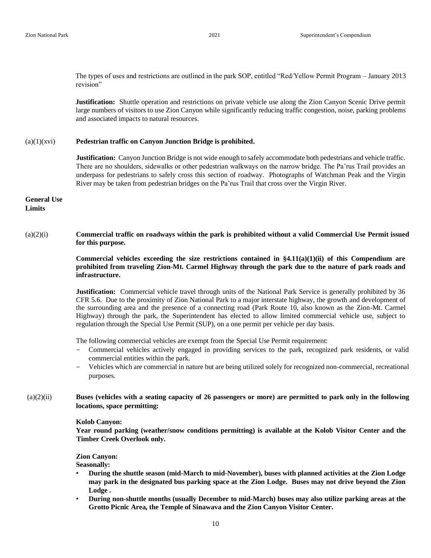The types of uses and restrictions are outlined in the park SOP, entitled "Red/Yellow Permit Program – January 2013 revision"

**Justification:** Shuttle operation and restrictions on private vehicle use along the Zion Canyon Scenic Drive permit large numbers of visitors to use Zion Canyon while significantly reducing traffic congestion, noise, parking problems and associated impacts to natural resources.

#### $(a)(1)(xvi)$ **Pedestrian traffic on Canyon Junction Bridge is prohibited.**

**Justification:** Canyon Junction Bridge is not wide enough to safely accommodate both pedestrians and vehicle traffic. There are no shoulders, sidewalks or other pedestrian walkways on the narrow bridge. The Pa'rus Trail provides an underpass for pedestrians to safely cross this section of roadway. Photographs of Watchman Peak and the Virgin River may be taken from pedestrian bridges on the Pa'rus Trail that cross over the Virgin River.

**General Use Limits**

#### (a)(2)(i) **Commercial traffic on roadways within the park is prohibited without a valid Commercial Use Permit issued for this purpose.**

**Commercial vehicles exceeding the size restrictions contained in §4.11(a)(1)(ii) of this Compendium are prohibited from traveling Zion-Mt. Carmel Highway through the park due to the nature of park roads and infrastructure.** 

**Justification:** Commercial vehicle travel through units of the National Park Service is generally prohibited by 36 CFR 5.6. Due to the proximity of Zion National Park to a major interstate highway, the growth and development of the surrounding area and the presence of a connecting road (Park Route 10, also known as the Zion-Mt. Carmel Highway) through the park, the Superintendent has elected to allow limited commercial vehicle use, subject to regulation through the Special Use Permit (SUP), on a one permit per vehicle per day basis.

The following commercial vehicles are exempt from the Special Use Permit requirement:

- Commercial vehicles actively engaged in providing services to the park, recognized park residents, or valid commercial entities within the park.
- Vehicles which are commercial in nature but are being utilized solely for recognized non-commercial, recreational purposes.
- (a)(2)(ii) **Buses (vehicles with a seating capacity of 26 passengers or more) are permitted to park only in the following locations, space permitting:**

#### **Kolob Canyon:**

**Year round parking (weather/snow conditions permitting) is available at the Kolob Visitor Center and the Timber Creek Overlook only.** 

#### **Zion Canyon:**

**Seasonally:** 

- **During the shuttle season (mid-March to mid-November), buses with planned activities at the Zion Lodge may park in the designated bus parking space at the Zion Lodge. Buses may not drive beyond the Zion Lodge .**
- **During non-shuttle months (usually December to mid-March) buses may also utilize parking areas at the Grotto Picnic Area, the Temple of Sinawava and the Zion Canyon Visitor Center.**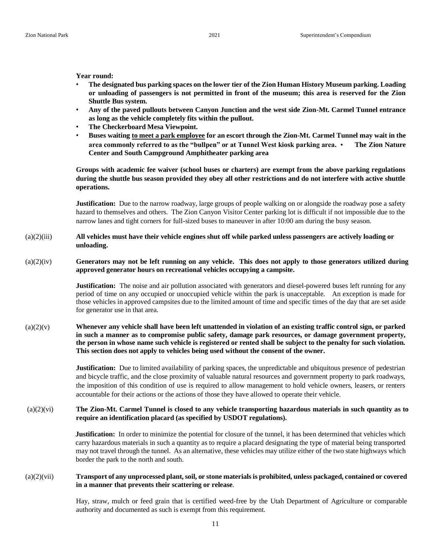**Year round:** 

- **The designated bus parking spaces on the lower tier of the Zion Human History Museum parking. Loading or unloading of passengers is not permitted in front of the museum; this area is reserved for the Zion Shuttle Bus system.**
- **Any of the paved pullouts between Canyon Junction and the west side Zion-Mt. Carmel Tunnel entrance as long as the vehicle completely fits within the pullout.**
- **The Checkerboard Mesa Viewpoint.**
- **Buses waiting to meet a park employee for an escort through the Zion-Mt. Carmel Tunnel may wait in the area commonly referred to as the "bullpen" or at Tunnel West kiosk parking area.** • **The Zion Nature Center and South Campground Amphitheater parking area**

**Groups with academic fee waiver (school buses or charters) are exempt from the above parking regulations during the shuttle bus season provided they obey all other restrictions and do not interfere with active shuttle operations.** 

**Justification:** Due to the narrow roadway, large groups of people walking on or alongside the roadway pose a safety hazard to themselves and others. The Zion Canyon Visitor Center parking lot is difficult if not impossible due to the narrow lanes and tight corners for full-sized buses to maneuver in after 10:00 am during the busy season.

#### (a)(2)(iii) **All vehicles must have their vehicle engines shut off while parked unless passengers are actively loading or unloading.**

(a)(2)(iv) **Generators may not be left running on any vehicle. This does not apply to those generators utilized during approved generator hours on recreational vehicles occupying a campsite.** 

> **Justification:** The noise and air pollution associated with generators and diesel-powered buses left running for any period of time on any occupied or unoccupied vehicle within the park is unacceptable. An exception is made for those vehicles in approved campsites due to the limited amount of time and specific times of the day that are set aside for generator use in that area.

#### (a)(2)(v) **Whenever any vehicle shall have been left unattended in violation of an existing traffic control sign, or parked in such a manner as to compromise public safety, damage park resources, or damage government property, the person in whose name such vehicle is registered or rented shall be subject to the penalty for such violation. This section does not apply to vehicles being used without the consent of the owner.**

**Justification:** Due to limited availability of parking spaces, the unpredictable and ubiquitous presence of pedestrian and bicycle traffic, and the close proximity of valuable natural resources and government property to park roadways, the imposition of this condition of use is required to allow management to hold vehicle owners, leasers, or renters accountable for their actions or the actions of those they have allowed to operate their vehicle.

#### (a)(2)(vi) **The Zion-Mt. Carmel Tunnel is closed to any vehicle transporting hazardous materials in such quantity as to require an identification placard (as specified by USDOT regulations).**

**Justification:** In order to minimize the potential for closure of the tunnel, it has been determined that vehicles which carry hazardous materials in such a quantity as to require a placard designating the type of material being transported may not travel through the tunnel. As an alternative, these vehicles may utilize either of the two state highways which border the park to the north and south.

#### (a)(2)(vii) **Transport of any unprocessed plant, soil, or stone materials is prohibited, unless packaged, contained or covered in a manner that prevents their scattering or release**.

Hay, straw, mulch or feed grain that is certified weed-free by the Utah Department of Agriculture or comparable authority and documented as such is exempt from this requirement.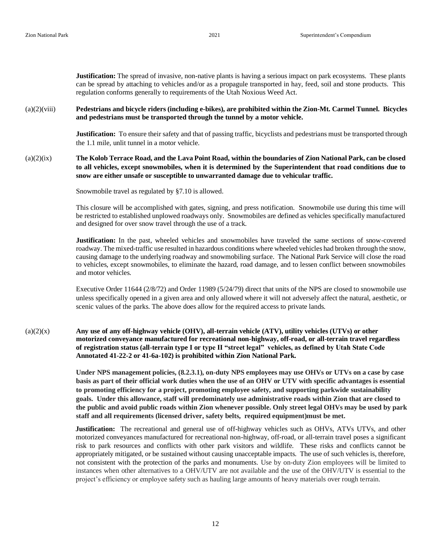**Justification:** The spread of invasive, non-native plants is having a serious impact on park ecosystems. These plants can be spread by attaching to vehicles and/or as a propagule transported in hay, feed, soil and stone products. This regulation conforms generally to requirements of the Utah Noxious Weed Act.

(a)(2)(viii) **Pedestrians and bicycle riders (including e-bikes), are prohibited within the Zion-Mt. Carmel Tunnel. Bicycles and pedestrians must be transported through the tunnel by a motor vehicle.**

> **Justification:** To ensure their safety and that of passing traffic, bicyclists and pedestrians must be transported through the 1.1 mile, unlit tunnel in a motor vehicle.

#### (a)(2)(ix) **The Kolob Terrace Road, and the Lava Point Road, within the boundaries of Zion National Park, can be closed to all vehicles, except snowmobiles, when it is determined by the Superintendent that road conditions due to snow are either unsafe or susceptible to unwarranted damage due to vehicular traffic.**

Snowmobile travel as regulated by §7.10 is allowed.

This closure will be accomplished with gates, signing, and press notification. Snowmobile use during this time will be restricted to established unplowed roadways only. Snowmobiles are defined as vehicles specifically manufactured and designed for over snow travel through the use of a track.

**Justification:** In the past, wheeled vehicles and snowmobiles have traveled the same sections of snow-covered roadway. The mixed-traffic use resulted in hazardous conditions where wheeled vehicles had broken through the snow, causing damage to the underlying roadway and snowmobiling surface. The National Park Service will close the road to vehicles, except snowmobiles, to eliminate the hazard, road damage, and to lessen conflict between snowmobiles and motor vehicles.

Executive Order 11644 (2/8/72) and Order 11989 (5/24/79) direct that units of the NPS are closed to snowmobile use unless specifically opened in a given area and only allowed where it will not adversely affect the natural, aesthetic, or scenic values of the parks. The above does allow for the required access to private lands.

(a)(2)(x) **Any use of any off-highway vehicle (OHV), all-terrain vehicle (ATV), utility vehicles (UTVs) or other motorized conveyance manufactured for recreational non-highway, off-road, or all-terrain travel regardless of registration status (all-terrain type I or type II "street legal" vehicles, as defined by Utah State Code Annotated 41-22-2 or 41-6a-102) is prohibited within Zion National Park.** 

> **Under NPS management policies, (8.2.3.1), on-duty NPS employees may use OHVs or UTVs on a case by case basis as part of their official work duties when the use of an OHV or UTV with specific advantages is essential to promoting efficiency for a project, promoting employee safety, and supporting parkwide sustainability goals. Under this allowance, staff will predominately use administrative roads within Zion that are closed to the public and avoid public roads within Zion whenever possible. Only street legal OHVs may be used by park staff and all requirements (licensed driver, safety belts, required equipment)must be met.**

> **Justification:** The recreational and general use of off-highway vehicles such as OHVs, ATVs UTVs, and other motorized conveyances manufactured for recreational non-highway, off-road, or all-terrain travel poses a significant risk to park resources and conflicts with other park visitors and wildlife. These risks and conflicts cannot be appropriately mitigated, or be sustained without causing unacceptable impacts. The use of such vehicles is, therefore, not consistent with the protection of the parks and monuments. Use by on-duty Zion employees will be limited to instances when other alternatives to a OHV/UTV are not available and the use of the OHV/UTV is essential to the project's efficiency or employee safety such as hauling large amounts of heavy materials over rough terrain.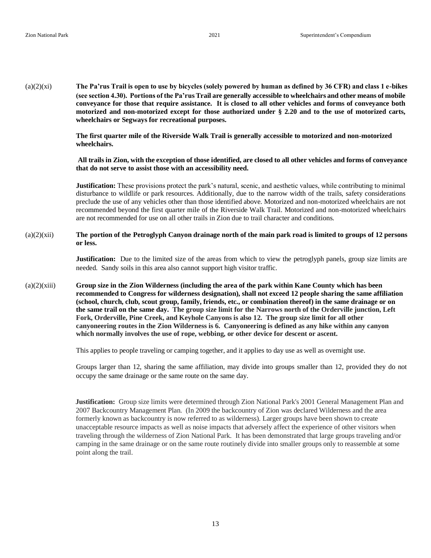(a)(2)(xi) **The Pa'rus Trail is open to use by bicycles (solely powered by human as defined by 36 CFR) and class 1 e-bikes (see section 4.30). Portions of the Pa'rus Trail are generally accessible to wheelchairs and other means of mobile conveyance for those that require assistance. It is closed to all other vehicles and forms of conveyance both motorized and non-motorized except for those authorized under § 2.20 and to the use of motorized carts, wheelchairs or Segways for recreational purposes.** 

> **The first quarter mile of the Riverside Walk Trail is generally accessible to motorized and non-motorized wheelchairs.**

**All trails in Zion, with the exception of those identified, are closed to all other vehicles and forms of conveyance that do not serve to assist those with an accessibility need.** 

**Justification:** These provisions protect the park's natural, scenic, and aesthetic values, while contributing to minimal disturbance to wildlife or park resources. Additionally, due to the narrow width of the trails, safety considerations preclude the use of any vehicles other than those identified above. Motorized and non-motorized wheelchairs are not recommended beyond the first quarter mile of the Riverside Walk Trail. Motorized and non-motorized wheelchairs are not recommended for use on all other trails in Zion due to trail character and conditions.

#### (a)(2)(xii) **The portion of the Petroglyph Canyon drainage north of the main park road is limited to groups of 12 persons or less.**

**Justification:** Due to the limited size of the areas from which to view the petroglyph panels, group size limits are needed. Sandy soils in this area also cannot support high visitor traffic.

(a)(2)(xiii) **Group size in the Zion Wilderness (including the area of the park within Kane County which has been recommended to Congress for wilderness designation), shall not exceed 12 people sharing the same affiliation (school, church, club, scout group, family, friends, etc., or combination thereof) in the same drainage or on the same trail on the same day. The group size limit for the Narrows north of the Orderville junction, Left Fork, Orderville, Pine Creek, and Keyhole Canyons is also 12. The group size limit for all other canyoneering routes in the Zion Wilderness is 6. Canyoneering is defined as any hike within any canyon which normally involves the use of rope, webbing, or other device for descent or ascent.**

This applies to people traveling or camping together, and it applies to day use as well as overnight use.

Groups larger than 12, sharing the same affiliation, may divide into groups smaller than 12, provided they do not occupy the same drainage or the same route on the same day.

**Justification:** Group size limits were determined through Zion National Park's 2001 General Management Plan and 2007 Backcountry Management Plan. (In 2009 the backcountry of Zion was declared Wilderness and the area formerly known as backcountry is now referred to as wilderness). Larger groups have been shown to create unacceptable resource impacts as well as noise impacts that adversely affect the experience of other visitors when traveling through the wilderness of Zion National Park. It has been demonstrated that large groups traveling and/or camping in the same drainage or on the same route routinely divide into smaller groups only to reassemble at some point along the trail.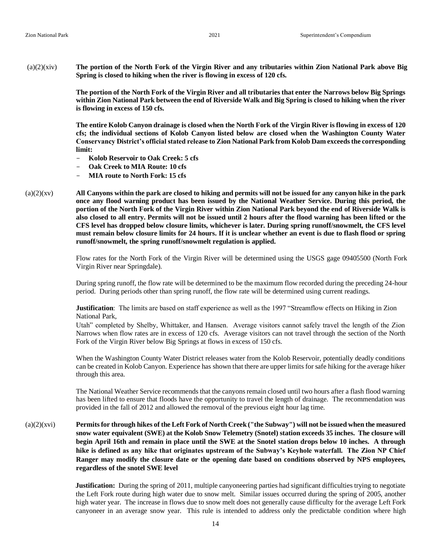(a)(2)(xiv) **The portion of the North Fork of the Virgin River and any tributaries within Zion National Park above Big Spring is closed to hiking when the river is flowing in excess of 120 cfs.**

> **The portion of the North Fork of the Virgin River and all tributaries that enter the Narrows below Big Springs within Zion National Park between the end of Riverside Walk and Big Spring is closed to hiking when the river is flowing in excess of 150 cfs.**

> **The entire Kolob Canyon drainage is closed when the North Fork of the Virgin River is flowing in excess of 120 cfs; the individual sections of Kolob Canyon listed below are closed when the Washington County Water Conservancy District's official stated release to Zion National Park from Kolob Dam exceeds the corresponding limit:**

- **Kolob Reservoir to Oak Creek: 5 cfs**
- **Oak Creek to MIA Route: 10 cfs**
- **MIA route to North Fork: 15 cfs**
- (a)(2)(xv) **All Canyons within the park are closed to hiking and permits will not be issued for any canyon hike in the park once any flood warning product has been issued by the National Weather Service. During this period, the portion of the North Fork of the Virgin River within Zion National Park beyond the end of Riverside Walk is also closed to all entry. Permits will not be issued until 2 hours after the flood warning has been lifted or the CFS level has dropped below closure limits, whichever is later. During spring runoff/snowmelt, the CFS level must remain below closure limits for 24 hours. If it is unclear whether an event is due to flash flood or spring runoff/snowmelt, the spring runoff/snowmelt regulation is applied.**

Flow rates for the North Fork of the Virgin River will be determined using the USGS gage 09405500 (North Fork Virgin River near Springdale).

During spring runoff, the flow rate will be determined to be the maximum flow recorded during the preceding 24-hour period. During periods other than spring runoff, the flow rate will be determined using current readings.

**Justification**: The limits are based on staff experience as well as the 1997 "Streamflow effects on Hiking in Zion National Park,

Utah" completed by Shelby, Whittaker, and Hansen. Average visitors cannot safely travel the length of the Zion Narrows when flow rates are in excess of 120 cfs. Average visitors can not travel through the section of the North Fork of the Virgin River below Big Springs at flows in excess of 150 cfs.

When the Washington County Water District releases water from the Kolob Reservoir, potentially deadly conditions can be created in Kolob Canyon. Experience has shown that there are upper limits for safe hiking for the average hiker through this area.

The National Weather Service recommends that the canyons remain closed until two hours after a flash flood warning has been lifted to ensure that floods have the opportunity to travel the length of drainage. The recommendation was provided in the fall of 2012 and allowed the removal of the previous eight hour lag time.

(a)(2)(xvi) **Permits for through hikes of the Left Fork of North Creek ("the Subway") will not be issued when the measured snow water equivalent (SWE) at the Kolob Snow Telemetry (Snotel) station exceeds 35 inches. The closure will begin April 16th and remain in place until the SWE at the Snotel station drops below 10 inches. A through hike is defined as any hike that originates upstream of the Subway's Keyhole waterfall. The Zion NP Chief Ranger may modify the closure date or the opening date based on conditions observed by NPS employees, regardless of the snotel SWE level** 

> **Justification:** During the spring of 2011, multiple canyoneering parties had significant difficulties trying to negotiate the Left Fork route during high water due to snow melt. Similar issues occurred during the spring of 2005, another high water year. The increase in flows due to snow melt does not generally cause difficulty for the average Left Fork canyoneer in an average snow year. This rule is intended to address only the predictable condition where high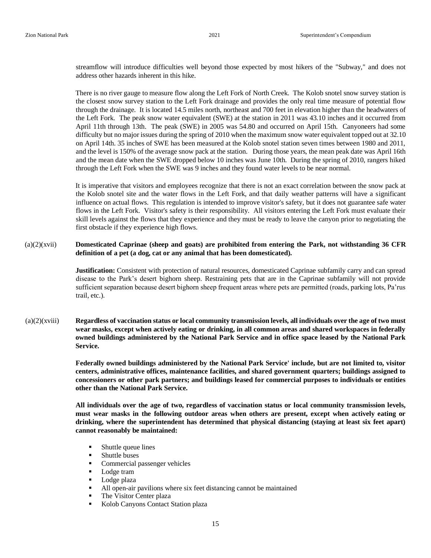streamflow will introduce difficulties well beyond those expected by most hikers of the "Subway," and does not address other hazards inherent in this hike.

There is no river gauge to measure flow along the Left Fork of North Creek. The Kolob snotel snow survey station is the closest snow survey station to the Left Fork drainage and provides the only real time measure of potential flow through the drainage. It is located 14.5 miles north, northeast and 700 feet in elevation higher than the headwaters of the Left Fork. The peak snow water equivalent (SWE) at the station in 2011 was 43.10 inches and it occurred from April 11th through 13th. The peak (SWE) in 2005 was 54.80 and occurred on April 15th. Canyoneers had some difficulty but no major issues during the spring of 2010 when the maximum snow water equivalent topped out at 32.10 on April 14th. 35 inches of SWE has been measured at the Kolob snotel station seven times between 1980 and 2011, and the level is 150% of the average snow pack at the station. During those years, the mean peak date was April 16th and the mean date when the SWE dropped below 10 inches was June 10th. During the spring of 2010, rangers hiked through the Left Fork when the SWE was 9 inches and they found water levels to be near normal.

It is imperative that visitors and employees recognize that there is not an exact correlation between the snow pack at the Kolob snotel site and the water flows in the Left Fork, and that daily weather patterns will have a significant influence on actual flows. This regulation is intended to improve visitor's safety, but it does not guarantee safe water flows in the Left Fork. Visitor's safety is their responsibility. All visitors entering the Left Fork must evaluate their skill levels against the flows that they experience and they must be ready to leave the canyon prior to negotiating the first obstacle if they experience high flows.

#### (a)(2)(xvii) **Domesticated Caprinae (sheep and goats) are prohibited from entering the Park, not withstanding 36 CFR definition of a pet (a dog, cat or any animal that has been domesticated).**

**Justification:** Consistent with protection of natural resources, domesticated Caprinae subfamily carry and can spread disease to the Park's desert bighorn sheep. Restraining pets that are in the Caprinae subfamily will not provide sufficient separation because desert bighorn sheep frequent areas where pets are permitted (roads, parking lots, Pa'rus trail, etc.).

(a)(2)(xviii) **Regardless of vaccination status or local community transmission levels, all individuals over the age of two must wear masks, except when actively eating or drinking, in all common areas and shared workspaces in federally owned buildings administered by the National Park Service and in office space leased by the National Park Service.**

> **Federally owned buildings administered by the National Park Service' include, but are not limited to, visitor centers, administrative offices, maintenance facilities, and shared government quarters; buildings assigned to concessioners or other park partners; and buildings leased for commercial purposes to individuals or entities other than the National Park Service.**

> **All individuals over the age of two, regardless of vaccination status or local community transmission levels, must wear masks in the following outdoor areas when others are present, except when actively eating or drinking, where the superintendent has determined that physical distancing (staying at least six feet apart) cannot reasonably be maintained:**

- Shuttle queue lines
- Shuttle buses
- **•** Commercial passenger vehicles
- Lodge tram
- Lodge plaza
- All open-air pavilions where six feet distancing cannot be maintained
- **•** The Visitor Center plaza
- Kolob Canyons Contact Station plaza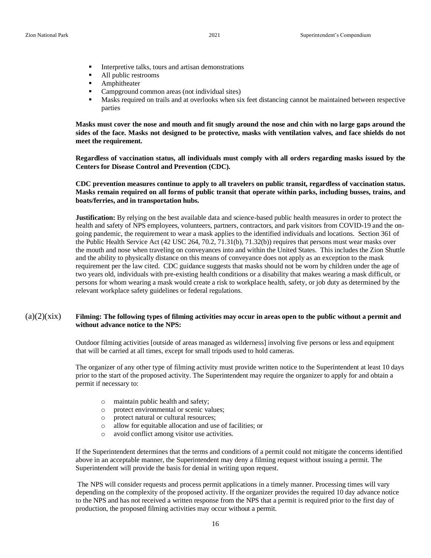- Interpretive talks, tours and artisan demonstrations
- All public restrooms
- Amphitheater
- Campground common areas (not individual sites)
- **■** Masks required on trails and at overlooks when six feet distancing cannot be maintained between respective parties

**Masks must cover the nose and mouth and fit snugly around the nose and chin with no large gaps around the sides of the face. Masks not designed to be protective, masks with ventilation valves, and face shields do not meet the requirement.**

**Regardless of vaccination status, all individuals must comply with all orders regarding masks issued by the Centers for Disease Control and Prevention (CDC).**

**CDC prevention measures continue to apply to all travelers on public transit, regardless of vaccination status. Masks remain required on all forms of public transit that operate within parks, including busses, trains, and boats/ferries, and in transportation hubs.**

**Justification:** By relying on the best available data and science-based public health measures in order to protect the health and safety of NPS employees, volunteers, partners, contractors, and park visitors from COVID-19 and the ongoing pandemic, the requirement to wear a mask applies to the identified individuals and locations. Section 361 of the Public Health Service Act (42 USC 264, 70.2, 71.31(b), 71.32(b)) requires that persons must wear masks over the mouth and nose when traveling on conveyances into and within the United States. This includes the Zion Shuttle and the ability to physically distance on this means of conveyance does not apply as an exception to the mask requirement per the law cited. CDC guidance suggests that masks should not be worn by children under the age of two years old, individuals with pre-existing health conditions or a disability that makes wearing a mask difficult, or persons for whom wearing a mask would create a risk to workplace health, safety, or job duty as determined by the relevant workplace safety guidelines or federal regulations.

#### $(a)(2)(\dot{x}ix)$  Filming: The following types of filming activities may occur in areas open to the public without a permit and **without advance notice to the NPS:**

Outdoor filming activities [outside of areas managed as wilderness] involving five persons or less and equipment that will be carried at all times, except for small tripods used to hold cameras.

The organizer of any other type of filming activity must provide written notice to the Superintendent at least 10 days prior to the start of the proposed activity. The Superintendent may require the organizer to apply for and obtain a permit if necessary to:

- o maintain public health and safety;
- o protect environmental or scenic values;
- o protect natural or cultural resources;
- o allow for equitable allocation and use of facilities; or
- o avoid conflict among visitor use activities.

If the Superintendent determines that the terms and conditions of a permit could not mitigate the concerns identified above in an acceptable manner, the Superintendent may deny a filming request without issuing a permit. The Superintendent will provide the basis for denial in writing upon request.

The NPS will consider requests and process permit applications in a timely manner. Processing times will vary depending on the complexity of the proposed activity. If the organizer provides the required 10 day advance notice to the NPS and has not received a written response from the NPS that a permit is required prior to the first day of production, the proposed filming activities may occur without a permit.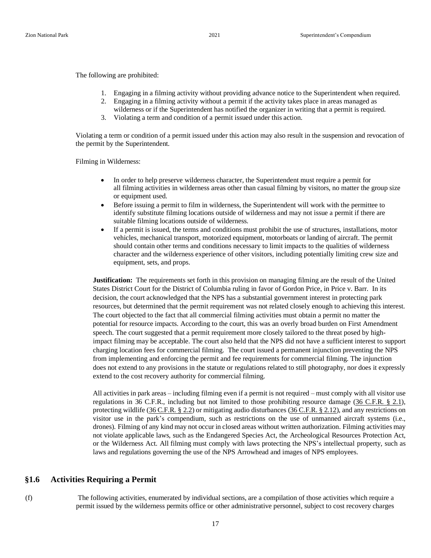The following are prohibited:

- 1. Engaging in a filming activity without providing advance notice to the Superintendent when required.
- 2. Engaging in a filming activity without a permit if the activity takes place in areas managed as
- wilderness or if the Superintendent has notified the organizer in writing that a permit is required.
- 3. Violating a term and condition of a permit issued under this action.

Violating a term or condition of a permit issued under this action may also result in the suspension and revocation of the permit by the Superintendent.

Filming in Wilderness:

- In order to help preserve wilderness character, the Superintendent must require a permit for all filming activities in wilderness areas other than casual filming by visitors, no matter the group size or equipment used.
- Before issuing a permit to film in wilderness, the Superintendent will work with the permittee to identify substitute filming locations outside of wilderness and may not issue a permit if there are suitable filming locations outside of wilderness.
- If a permit is issued, the terms and conditions must prohibit the use of structures, installations, motor vehicles, mechanical transport, motorized equipment, motorboats or landing of aircraft. The permit should contain other terms and conditions necessary to limit impacts to the qualities of wilderness character and the wilderness experience of other visitors, including potentially limiting crew size and equipment, sets, and props.

**Justification:** The requirements set forth in this provision on managing filming are the result of the United States District Court for the District of Columbia ruling in favor of Gordon Price, in Price v. Barr. In its decision, the court acknowledged that the NPS has a substantial government interest in protecting park resources, but determined that the permit requirement was not related closely enough to achieving this interest. The court objected to the fact that all commercial filming activities must obtain a permit no matter the potential for resource impacts. According to the court, this was an overly broad burden on First Amendment speech. The court suggested that a permit requirement more closely tailored to the threat posed by highimpact filming may be acceptable. The court also held that the NPS did not have a sufficient interest to support charging location fees for commercial filming. The court issued a permanent injunction preventing the NPS from implementing and enforcing the permit and fee requirements for commercial filming. The injunction does not extend to any provisions in the statute or regulations related to still photography, nor does it expressly extend to the cost recovery authority for commercial filming.

All activities in park areas – including filming even if a permit is not required – must comply with all visitor use regulations in 36 C.F.R., including but not limited to those prohibiting resource damage (36 [C.F.R.](https://gcc02.safelinks.protection.outlook.com/?url=https%3A%2F%2Fwww.ecfr.gov%2Fcgi-bin%2FretrieveECFR%3Fgp%3D%26SID%3D7fb58989d037d22d7ab44ee83e958d86%26mc%3Dtrue%26r%3DSECTION%26n%3Dse36.1.2_11&data=04%7C01%7CDaniel_Fagergren%40nps.gov%7C344b3e98a6064828d41b08d8d768afc8%7C0693b5ba4b184d7b9341f32f400a5494%7C0%7C0%7C637496191916019545%7CUnknown%7CTWFpbGZsb3d8eyJWIjoiMC4wLjAwMDAiLCJQIjoiV2luMzIiLCJBTiI6Ik1haWwiLCJXVCI6Mn0%3D%7C1000&sdata=EHv35HdqFt3jTk87bgQbpXTJSJAhOUaHkJCgjhaDvTg%3D&reserved=0) § 2.1), protecting wildlife (36 [C.F.R.](https://gcc02.safelinks.protection.outlook.com/?url=https%3A%2F%2Fwww.ecfr.gov%2Fcgi-bin%2Ftext-idx%3FSID%3Db3ecd73bf1700134a8f6fde8f4ec9dc3%26mc%3Dtrue%26node%3Dse36.1.2_12%26rgn%3Ddiv8&data=04%7C01%7CDaniel_Fagergren%40nps.gov%7C344b3e98a6064828d41b08d8d768afc8%7C0693b5ba4b184d7b9341f32f400a5494%7C0%7C0%7C637496191916019545%7CUnknown%7CTWFpbGZsb3d8eyJWIjoiMC4wLjAwMDAiLCJQIjoiV2luMzIiLCJBTiI6Ik1haWwiLCJXVCI6Mn0%3D%7C1000&sdata=Khmv8qjFs%2F%2BNL27%2Fk361d0JBb6NiJQNO12bfg%2BTQsuA%3D&reserved=0) § 2.2) or mitigating audio disturbances (36 [C.F.R.](https://gcc02.safelinks.protection.outlook.com/?url=https%3A%2F%2Fwww.ecfr.gov%2Fcgi-bin%2Ftext-idx%3FSID%3D097f78a2b8f22e7083fd7e16bc71efeb%26mc%3Dtrue%26node%3Dse36.1.2_112%26rgn%3Ddiv8&data=04%7C01%7CDaniel_Fagergren%40nps.gov%7C344b3e98a6064828d41b08d8d768afc8%7C0693b5ba4b184d7b9341f32f400a5494%7C0%7C0%7C637496191916029502%7CUnknown%7CTWFpbGZsb3d8eyJWIjoiMC4wLjAwMDAiLCJQIjoiV2luMzIiLCJBTiI6Ik1haWwiLCJXVCI6Mn0%3D%7C1000&sdata=1tV8kTPiykMQqtXM5yJ2j4WLs4EsY9HRqMU8z%2FK2H%2Bw%3D&reserved=0) § 2.12), and any restrictions on visitor use in the park's compendium, such as restrictions on the use of unmanned aircraft systems (i.e., drones). Filming of any kind may not occur in closed areas without written authorization. Filming activities may not violate applicable laws, such as the Endangered Species Act, the Archeological Resources Protection Act, or the Wilderness Act. All filming must comply with laws protecting the NPS's intellectual property, such as laws and regulations governing the use of the NPS Arrowhead and images of NPS employees.

#### **§1.6 Activities Requiring a Permit**

(f) The following activities, enumerated by individual sections, are a compilation of those activities which require a permit issued by the wilderness permits office or other administrative personnel, subject to cost recovery charges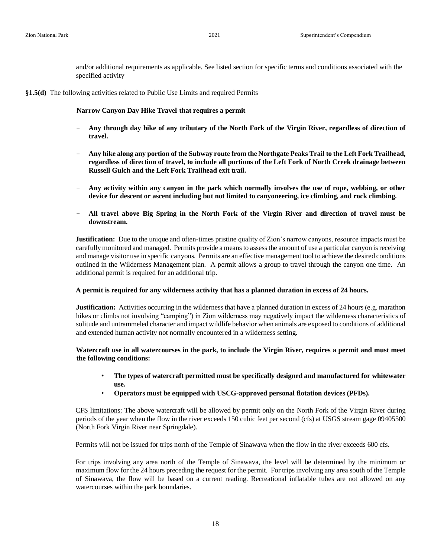and/or additional requirements as applicable. See listed section for specific terms and conditions associated with the specified activity

#### **§1.5(d)** The following activities related to Public Use Limits and required Permits

**Narrow Canyon Day Hike Travel that requires a permit** 

- **Any through day hike of any tributary of the North Fork of the Virgin River, regardless of direction of travel.**
- **Any hike along any portion of the Subway route from the Northgate Peaks Trail to the Left Fork Trailhead, regardless of direction of travel, to include all portions of the Left Fork of North Creek drainage between Russell Gulch and the Left Fork Trailhead exit trail.**
- **Any activity within any canyon in the park which normally involves the use of rope, webbing, or other device for descent or ascent including but not limited to canyoneering, ice climbing, and rock climbing.**
- **All travel above Big Spring in the North Fork of the Virgin River and direction of travel must be downstream.**

**Justification:** Due to the unique and often-times pristine quality of Zion's narrow canyons, resource impacts must be carefully monitored and managed. Permits provide a means to assess the amount of use a particular canyon is receiving and manage visitor use in specific canyons. Permits are an effective management tool to achieve the desired conditions outlined in the Wilderness Management plan. A permit allows a group to travel through the canyon one time. An additional permit is required for an additional trip.

#### **A permit is required for any wilderness activity that has a planned duration in excess of 24 hours.**

**Justification:** Activities occurring in the wilderness that have a planned duration in excess of 24 hours (e.g. marathon hikes or climbs not involving "camping") in Zion wilderness may negatively impact the wilderness characteristics of solitude and untrammeled character and impact wildlife behavior when animals are exposed to conditions of additional and extended human activity not normally encountered in a wilderness setting.

#### **Watercraft use in all watercourses in the park, to include the Virgin River, requires a permit and must meet the following conditions:**

- **The types of watercraft permitted must be specifically designed and manufactured for whitewater use.**
- **Operators must be equipped with USCG-approved personal flotation devices (PFDs).**

CFS limitations: The above watercraft will be allowed by permit only on the North Fork of the Virgin River during periods of the year when the flow in the river exceeds 150 cubic feet per second (cfs) at USGS stream gage 09405500 (North Fork Virgin River near Springdale).

Permits will not be issued for trips north of the Temple of Sinawava when the flow in the river exceeds 600 cfs.

For trips involving any area north of the Temple of Sinawava, the level will be determined by the minimum or maximum flow for the 24 hours preceding the request for the permit. For trips involving any area south of the Temple of Sinawava, the flow will be based on a current reading. Recreational inflatable tubes are not allowed on any watercourses within the park boundaries.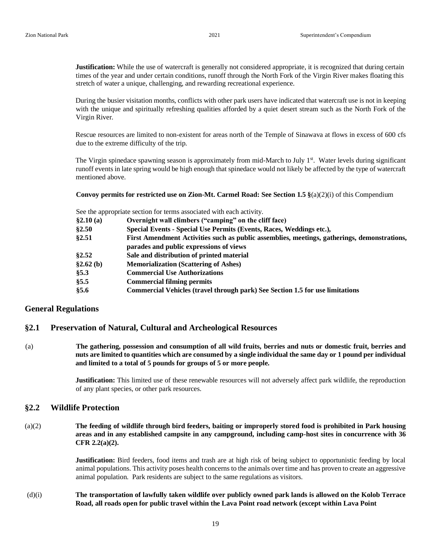**Justification:** While the use of watercraft is generally not considered appropriate, it is recognized that during certain times of the year and under certain conditions, runoff through the North Fork of the Virgin River makes floating this stretch of water a unique, challenging, and rewarding recreational experience.

During the busier visitation months, conflicts with other park users have indicated that watercraft use is not in keeping with the unique and spiritually refreshing qualities afforded by a quiet desert stream such as the North Fork of the Virgin River.

Rescue resources are limited to non-existent for areas north of the Temple of Sinawava at flows in excess of 600 cfs due to the extreme difficulty of the trip.

The Virgin spinedace spawning season is approximately from mid-March to July 1<sup>st</sup>. Water levels during significant runoff events in late spring would be high enough that spinedace would not likely be affected by the type of watercraft mentioned above.

**Convoy permits for restricted use on Zion-Mt. Carmel Road: See Section 1.5 §**(a)(2)(i) of this Compendium

See the appropriate section for terms associated with each activity.

| \$2.10(a)   | Overnight wall climbers ("camping" on the cliff face)                                       |  |  |
|-------------|---------------------------------------------------------------------------------------------|--|--|
| §2.50       | Special Events - Special Use Permits (Events, Races, Weddings etc.),                        |  |  |
| §2.51       | First Amendment Activities such as public assemblies, meetings, gatherings, demonstrations, |  |  |
|             | parades and public expressions of views                                                     |  |  |
| §2.52       | Sale and distribution of printed material                                                   |  |  |
| §2.62(b)    | <b>Memorialization (Scattering of Ashes)</b>                                                |  |  |
| § 5.3       | <b>Commercial Use Authorizations</b>                                                        |  |  |
| § 5.5       | <b>Commercial filming permits</b>                                                           |  |  |
| <b>§5.6</b> | <b>Commercial Vehicles (travel through park) See Section 1.5 for use limitations</b>        |  |  |

#### **General Regulations**

#### **§2.1 Preservation of Natural, Cultural and Archeological Resources**

(a) **The gathering, possession and consumption of all wild fruits, berries and nuts or domestic fruit, berries and nuts are limited to quantities which are consumed by a single individual the same day or 1 pound per individual and limited to a total of 5 pounds for groups of 5 or more people.**

> **Justification:** This limited use of these renewable resources will not adversely affect park wildlife, the reproduction of any plant species, or other park resources.

#### **§2.2 Wildlife Protection**

(a)(2) **The feeding of wildlife through bird feeders, baiting or improperly stored food is prohibited in Park housing areas and in any established campsite in any campground, including camp-host sites in concurrence with 36 CFR 2.2(a)(2).** 

> **Justification:** Bird feeders, food items and trash are at high risk of being subject to opportunistic feeding by local animal populations. This activity poses health concerns to the animals over time and has proven to create an aggressive animal population. Park residents are subject to the same regulations as visitors.

#### (d)(i) **The transportation of lawfully taken wildlife over publicly owned park lands is allowed on the Kolob Terrace Road, all roads open for public travel within the Lava Point road network (except within Lava Point**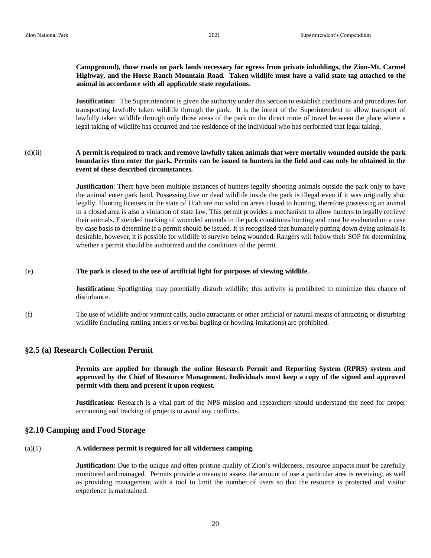#### **Campground), those roads on park lands necessary for egress from private inholdings, the Zion-Mt. Carmel Highway, and the Horse Ranch Mountain Road. Taken wildlife must have a valid state tag attached to the animal in accordance with all applicable state regulations.**

**Justification:** The Superintendent is given the authority under this section to establish conditions and procedures for transporting lawfully taken wildlife through the park. It is the intent of the Superintendent to allow transport of lawfully taken wildlife through only those areas of the park on the direct route of travel between the place where a legal taking of wildlife has occurred and the residence of the individual who has performed that legal taking.

(d)(ii) **A permit is required to track and remove lawfully taken animals that were mortally wounded outside the park boundaries then enter the park. Permits can be issued to hunters in the field and can only be obtained in the event of these described circumstances.**

> **Justification**: There have been multiple instances of hunters legally shooting animals outside the park only to have the animal enter park land. Possessing live or dead wildlife inside the park is illegal even if it was originally shot legally. Hunting licenses in the state of Utah are not valid on areas closed to hunting, therefore possessing an animal in a closed area is also a violation of state law. This permit provides a mechanism to allow hunters to legally retrieve their animals. Extended tracking of wounded animals in the park constitutes hunting and must be evaluated on a case by case basis to determine if a permit should be issued. It is recognized that humanely putting down dying animals is desirable, however, it is possible for wildlife to survive being wounded. Rangers will follow their SOP for determining whether a permit should be authorized and the conditions of the permit.

#### (e) **The park is closed to the use of artificial light for purposes of viewing wildlife.**

**Justification:** Spotlighting may potentially disturb wildlife; this activity is prohibited to minimize this chance of disturbance.

(f) The use of wildlife and/or varmint calls, audio attractants or other artificial or natural means of attracting or disturbing wildlife (including rattling antlers or verbal bugling or howling imitations) are prohibited.

#### **§2.5 (a) Research Collection Permit**

**Permits are applied for through the online Research Permit and Reporting System (RPRS) system and approved by the Chief of Resource Management. Individuals must keep a copy of the signed and approved permit with them and present it upon request.** 

**Justification**: Research is a vital part of the NPS mission and researchers should understand the need for proper accounting and tracking of projects to avoid any conflicts.

## **§2.10 Camping and Food Storage**

#### (a)(1) **A wilderness permit is required for all wilderness camping.**

**Justification:** Due to the unique and often pristine quality of Zion's wilderness, resource impacts must be carefully monitored and managed. Permits provide a means to assess the amount of use a particular area is receiving, as well as providing management with a tool to limit the number of users so that the resource is protected and visitor experience is maintained.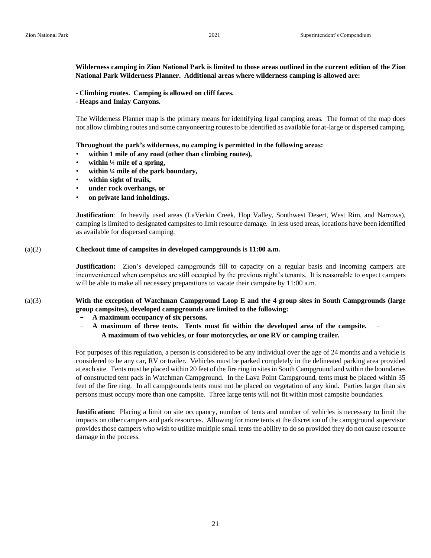#### **Wilderness camping in Zion National Park is limited to those areas outlined in the current edition of the Zion National Park Wilderness Planner. Additional areas where wilderness camping is allowed are:**

- **- Climbing routes. Camping is allowed on cliff faces.**
- **- Heaps and Imlay Canyons.**

The Wilderness Planner map is the primary means for identifying legal camping areas. The format of the map does not allow climbing routes and some canyoneering routes to be identified as available for at-large or dispersed camping.

**Throughout the park's wilderness, no camping is permitted in the following areas:** 

- **within 1 mile of any road (other than climbing routes),**
- **within ¼ mile of a spring,**
- **within ¼ mile of the park boundary,**
- **within sight of trails,**
- **under rock overhangs, or**
- **on private land inholdings.**

**Justification**: In heavily used areas (LaVerkin Creek, Hop Valley, Southwest Desert, West Rim, and Narrows), camping is limited to designated campsites to limit resource damage. In less used areas, locations have been identified as available for dispersed camping.

#### (a)(2) **Checkout time of campsites in developed campgrounds is 11:00 a.m.**

**Justification:** Zion's developed campgrounds fill to capacity on a regular basis and incoming campers are inconvenienced when campsites are still occupied by the previous night's tenants. It is reasonable to expect campers will be able to make all necessary preparations to vacate their campsite by 11:00 a.m.

#### (a)(3) **With the exception of Watchman Campground Loop E and the 4 group sites in South Campgrounds (large group campsites), developed campgrounds are limited to the following:**

- **A maximum occupancy of six persons.**
- **A maximum of three tents. Tents must fit within the developed area of the campsite. A maximum of two vehicles, or four motorcycles, or one RV or camping trailer.**

For purposes of this regulation, a person is considered to be any individual over the age of 24 months and a vehicle is considered to be any car, RV or trailer. Vehicles must be parked completely in the delineated parking area provided at each site. Tents must be placed within 20 feet of the fire ring in sites in South Campground and within the boundaries of constructed tent pads in Watchman Campground. In the Lava Point Campground, tents must be placed within 35 feet of the fire ring. In all campgrounds tents must not be placed on vegetation of any kind. Parties larger than six persons must occupy more than one campsite. Three large tents will not fit within most campsite boundaries.

**Justification:** Placing a limit on site occupancy, number of tents and number of vehicles is necessary to limit the impacts on other campers and park resources. Allowing for more tents at the discretion of the campground supervisor provides those campers who wish to utilize multiple small tents the ability to do so provided they do not cause resource damage in the process.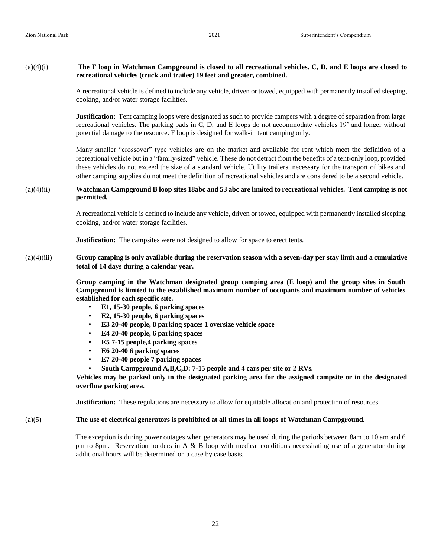#### (a)(4)(i) **The F loop in Watchman Campground is closed to all recreational vehicles. C, D, and E loops are closed to recreational vehicles (truck and trailer) 19 feet and greater, combined.**

A recreational vehicle is defined to include any vehicle, driven or towed, equipped with permanently installed sleeping, cooking, and/or water storage facilities.

**Justification:** Tent camping loops were designated as such to provide campers with a degree of separation from large recreational vehicles. The parking pads in C, D, and E loops do not accommodate vehicles 19' and longer without potential damage to the resource. F loop is designed for walk-in tent camping only.

Many smaller "crossover" type vehicles are on the market and available for rent which meet the definition of a recreational vehicle but in a "family-sized" vehicle. These do not detract from the benefits of a tent-only loop, provided these vehicles do not exceed the size of a standard vehicle. Utility trailers, necessary for the transport of bikes and other camping supplies do not meet the definition of recreational vehicles and are considered to be a second vehicle.

#### (a)(4)(ii) **Watchman Campground B loop sites 18abc and 53 abc are limited to recreational vehicles. Tent camping is not permitted.**

A recreational vehicle is defined to include any vehicle, driven or towed, equipped with permanently installed sleeping, cooking, and/or water storage facilities.

**Justification:** The campsites were not designed to allow for space to erect tents.

#### (a)(4)(iii) **Group camping is only available during the reservation season with a seven-day per stay limit and a cumulative total of 14 days during a calendar year.**

**Group camping in the Watchman designated group camping area (E loop) and the group sites in South Campground is limited to the established maximum number of occupants and maximum number of vehicles established for each specific site.** 

- **E1, 15-30 people, 6 parking spaces**
- **E2, 15-30 people, 6 parking spaces**
- **E3 20-40 people, 8 parking spaces 1 oversize vehicle space**
- **E4 20-40 people, 6 parking spaces**
- **E5 7-15 people,4 parking spaces**
- **E6 20-40 6 parking spaces**
- **E7 20-40 people 7 parking spaces**
- **South Campground A,B,C,D: 7-15 people and 4 cars per site or 2 RVs.**

**Vehicles may be parked only in the designated parking area for the assigned campsite or in the designated overflow parking area.** 

**Justification:** These regulations are necessary to allow for equitable allocation and protection of resources.

#### (a)(5) **The use of electrical generators is prohibited at all times in all loops of Watchman Campground.**

The exception is during power outages when generators may be used during the periods between 8am to 10 am and 6 pm to 8pm. Reservation holders in A  $\&$  B loop with medical conditions necessitating use of a generator during additional hours will be determined on a case by case basis.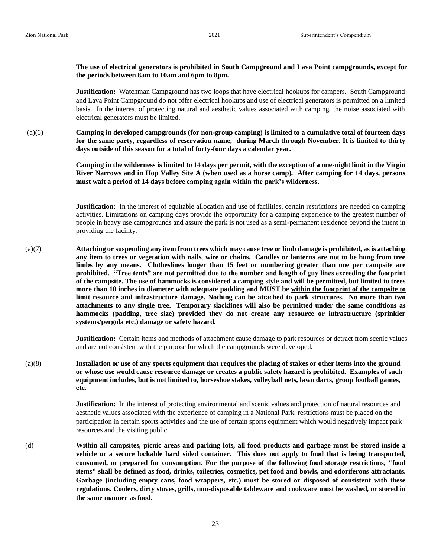#### **The use of electrical generators is prohibited in South Campground and Lava Point campgrounds, except for the periods between 8am to 10am and 6pm to 8pm.**

**Justification:** Watchman Campground has two loops that have electrical hookups for campers. South Campground and Lava Point Campground do not offer electrical hookups and use of electrical generators is permitted on a limited basis. In the interest of protecting natural and aesthetic values associated with camping, the noise associated with electrical generators must be limited.

 $(a)(6)$ **Camping in developed campgrounds (for non-group camping) is limited to a cumulative total of fourteen days for the same party, regardless of reservation name, during March through November. It is limited to thirty days outside of this season for a total of forty-four days a calendar year.**

> **Camping in the wilderness is limited to 14 days per permit, with the exception of a one-night limit in the Virgin River Narrows and in Hop Valley Site A (when used as a horse camp). After camping for 14 days, persons must wait a period of 14 days before camping again within the park's wilderness.**

> **Justification:** In the interest of equitable allocation and use of facilities, certain restrictions are needed on camping activities. Limitations on camping days provide the opportunity for a camping experience to the greatest number of people in heavy use campgrounds and assure the park is not used as a semi-permanent residence beyond the intent in providing the facility.

(a)(7) **Attaching or suspending any item from trees which may cause tree or limb damage is prohibited, as is attaching any item to trees or vegetation with nails, wire or chains. Candles or lanterns are not to be hung from tree limbs by any means. Clotheslines longer than 15 feet or numbering greater than one per campsite are prohibited. "Tree tents" are not permitted due to the number and length of guy lines exceeding the footprint of the campsite. The use of hammocks is considered a camping style and will be permitted, but limited to trees more than 10 inches in diameter with adequate padding and MUST be within the footprint of the campsite to limit resource and infrastructure damage. Nothing can be attached to park structures. No more than two attachments to any single tree. Temporary slacklines will also be permitted under the same conditions as hammocks (padding, tree size) provided they do not create any resource or infrastructure (sprinkler systems/pergola etc.) damage or safety hazard.** 

> **Justification:** Certain items and methods of attachment cause damage to park resources or detract from scenic values and are not consistent with the purpose for which the campgrounds were developed.

(a)(8) **Installation or use of any sports equipment that requires the placing of stakes or other items into the ground or whose use would cause resource damage or creates a public safety hazard is prohibited. Examples of such equipment includes, but is not limited to, horseshoe stakes, volleyball nets, lawn darts, group football games, etc.**

> **Justification:** In the interest of protecting environmental and scenic values and protection of natural resources and aesthetic values associated with the experience of camping in a National Park, restrictions must be placed on the participation in certain sports activities and the use of certain sports equipment which would negatively impact park resources and the visiting public.

(d) **Within all campsites, picnic areas and parking lots, all food products and garbage must be stored inside a vehicle or a secure lockable hard sided container. This does not apply to food that is being transported, consumed, or prepared for consumption. For the purpose of the following food storage restrictions, "food items" shall be defined as food, drinks, toiletries, cosmetics, pet food and bowls, and odoriferous attractants. Garbage (including empty cans, food wrappers, etc.) must be stored or disposed of consistent with these regulations. Coolers, dirty stoves, grills, non-disposable tableware and cookware must be washed, or stored in the same manner as food.**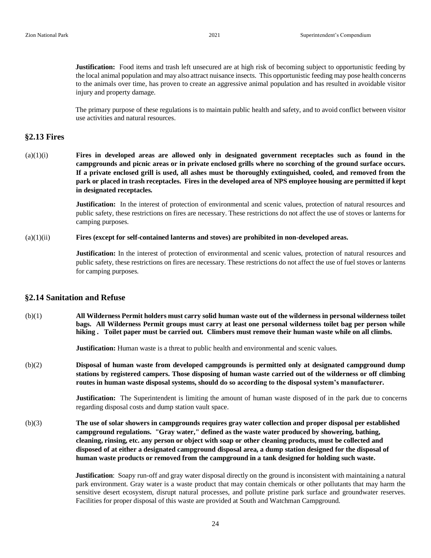**Justification:** Food items and trash left unsecured are at high risk of becoming subject to opportunistic feeding by the local animal population and may also attract nuisance insects. This opportunistic feeding may pose health concerns to the animals over time, has proven to create an aggressive animal population and has resulted in avoidable visitor injury and property damage.

The primary purpose of these regulations is to maintain public health and safety, and to avoid conflict between visitor use activities and natural resources.

#### **§2.13 Fires**

(a)(1)(i) **Fires in developed areas are allowed only in designated government receptacles such as found in the campgrounds and picnic areas or in private enclosed grills where no scorching of the ground surface occurs. If a private enclosed grill is used, all ashes must be thoroughly extinguished, cooled, and removed from the park or placed in trash receptacles. Fires in the developed area of NPS employee housing are permitted if kept in designated receptacles.** 

> **Justification:** In the interest of protection of environmental and scenic values, protection of natural resources and public safety, these restrictions on fires are necessary. These restrictions do not affect the use of stoves or lanterns for camping purposes.

#### $(a)(1)(ii)$ **Fires (except for self-contained lanterns and stoves) are prohibited in non-developed areas.**

**Justification:** In the interest of protection of environmental and scenic values, protection of natural resources and public safety, these restrictions on fires are necessary. These restrictions do not affect the use of fuel stoves or lanterns for camping purposes.

#### **§2.14 Sanitation and Refuse**

(b)(1) **All Wilderness Permit holders must carry solid human waste out of the wilderness in personal wilderness toilet bags. All Wilderness Permit groups must carry at least one personal wilderness toilet bag per person while hiking . Toilet paper must be carried out. Climbers must remove their human waste while on all climbs.** 

**Justification:** Human waste is a threat to public health and environmental and scenic values.

(b)(2) **Disposal of human waste from developed campgrounds is permitted only at designated campground dump stations by registered campers. Those disposing of human waste carried out of the wilderness or off climbing routes in human waste disposal systems, should do so according to the disposal system's manufacturer.** 

> **Justification:** The Superintendent is limiting the amount of human waste disposed of in the park due to concerns regarding disposal costs and dump station vault space.

(b)(3) **The use of solar showers in campgrounds requires gray water collection and proper disposal per established campground regulations. "Gray water," defined as the waste water produced by showering, bathing, cleaning, rinsing, etc. any person or object with soap or other cleaning products, must be collected and disposed of at either a designated campground disposal area, a dump station designed for the disposal of human waste products or removed from the campground in a tank designed for holding such waste.** 

> **Justification**: Soapy run-off and gray water disposal directly on the ground is inconsistent with maintaining a natural park environment. Gray water is a waste product that may contain chemicals or other pollutants that may harm the sensitive desert ecosystem, disrupt natural processes, and pollute pristine park surface and groundwater reserves. Facilities for proper disposal of this waste are provided at South and Watchman Campground.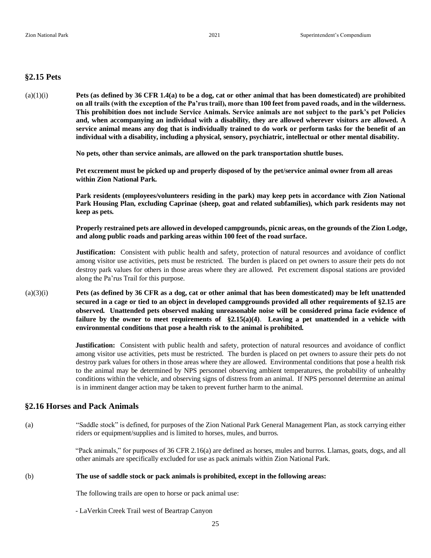### **§2.15 Pets**

(a)(1)(i) **Pets (as defined by 36 CFR 1.4(a) to be a dog, cat or other animal that has been domesticated) are prohibited on all trails (with the exception of the Pa'rus trail), more than 100 feet from paved roads, and in the wilderness. This prohibition does not include Service Animals. Service animals are not subject to the park's pet Policies and, when accompanying an individual with a disability, they are allowed wherever visitors are allowed. A service animal means any dog that is individually trained to do work or perform tasks for the benefit of an individual with a disability, including a physical, sensory, psychiatric, intellectual or other mental disability.** 

**No pets, other than service animals, are allowed on the park transportation shuttle buses.** 

**Pet excrement must be picked up and properly disposed of by the pet/service animal owner from all areas within Zion National Park.** 

**Park residents (employees/volunteers residing in the park) may keep pets in accordance with Zion National Park Housing Plan, excluding Caprinae (sheep, goat and related subfamilies), which park residents may not keep as pets.** 

**Properly restrained pets are allowed in developed campgrounds, picnic areas, on the grounds of the Zion Lodge, and along public roads and parking areas within 100 feet of the road surface.** 

**Justification:** Consistent with public health and safety, protection of natural resources and avoidance of conflict among visitor use activities, pets must be restricted. The burden is placed on pet owners to assure their pets do not destroy park values for others in those areas where they are allowed. Pet excrement disposal stations are provided along the Pa'rus Trail for this purpose.

(a)(3)(i) **Pets (as defined by 36 CFR as a dog, cat or other animal that has been domesticated) may be left unattended secured in a cage or tied to an object in developed campgrounds provided all other requirements of §2.15 are observed. Unattended pets observed making unreasonable noise will be considered prima facie evidence of failure by the owner to meet requirements of §2.15(a)(4)**. **Leaving a pet unattended in a vehicle with environmental conditions that pose a health risk to the animal is prohibited.**

> **Justification:** Consistent with public health and safety, protection of natural resources and avoidance of conflict among visitor use activities, pets must be restricted. The burden is placed on pet owners to assure their pets do not destroy park values for others in those areas where they are allowed. Environmental conditions that pose a health risk to the animal may be determined by NPS personnel observing ambient temperatures, the probability of unhealthy conditions within the vehicle, and observing signs of distress from an animal. If NPS personnel determine an animal is in imminent danger action may be taken to prevent further harm to the animal.

#### **§2.16 Horses and Pack Animals**

(a) "Saddle stock" is defined, for purposes of the Zion National Park General Management Plan, as stock carrying either riders or equipment/supplies and is limited to horses, mules, and burros.

> "Pack animals," for purposes of 36 CFR 2.16(a) are defined as horses, mules and burros. Llamas, goats, dogs, and all other animals are specifically excluded for use as pack animals within Zion National Park.

#### (b) **The use of saddle stock or pack animals is prohibited, except in the following areas:**

The following trails are open to horse or pack animal use:

- LaVerkin Creek Trail west of Beartrap Canyon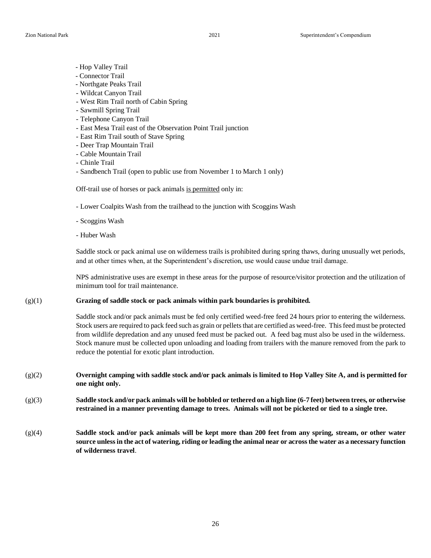- Hop Valley Trail
- Connector Trail
- Northgate Peaks Trail
- Wildcat Canyon Trail
- West Rim Trail north of Cabin Spring
- Sawmill Spring Trail
- Telephone Canyon Trail
- East Mesa Trail east of the Observation Point Trail junction
- East Rim Trail south of Stave Spring
- Deer Trap Mountain Trail
- Cable Mountain Trail
- Chinle Trail
- Sandbench Trail (open to public use from November 1 to March 1 only)

Off-trail use of horses or pack animals is permitted only in:

- Lower Coalpits Wash from the trailhead to the junction with Scoggins Wash
- Scoggins Wash
- Huber Wash

Saddle stock or pack animal use on wilderness trails is prohibited during spring thaws, during unusually wet periods, and at other times when, at the Superintendent's discretion, use would cause undue trail damage.

NPS administrative uses are exempt in these areas for the purpose of resource/visitor protection and the utilization of minimum tool for trail maintenance.

#### (g)(1) **Grazing of saddle stock or pack animals within park boundaries is prohibited.**

Saddle stock and/or pack animals must be fed only certified weed-free feed 24 hours prior to entering the wilderness. Stock users are required to pack feed such as grain or pellets that are certified as weed-free. This feed must be protected from wildlife depredation and any unused feed must be packed out. A feed bag must also be used in the wilderness. Stock manure must be collected upon unloading and loading from trailers with the manure removed from the park to reduce the potential for exotic plant introduction.

- (g)(2) **Overnight camping with saddle stock and/or pack animals is limited to Hop Valley Site A, and is permitted for one night only.**
- (g)(3) **Saddle stock and/or pack animals will be hobbled or tethered on a high line (6-7 feet) between trees, or otherwise restrained in a manner preventing damage to trees. Animals will not be picketed or tied to a single tree.**
- (g)(4) **Saddle stock and/or pack animals will be kept more than 200 feet from any spring, stream, or other water source unless in the act of watering, riding or leading the animal near or across the water as a necessary function of wilderness travel**.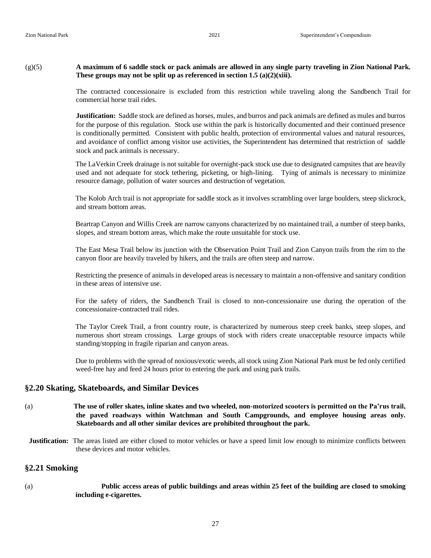#### (g)(5) **A maximum of 6 saddle stock or pack animals are allowed in any single party traveling in Zion National Park. These groups may not be split up as referenced in section 1.5 (a)(2)(xiii).**

The contracted concessionaire is excluded from this restriction while traveling along the Sandbench Trail for commercial horse trail rides.

**Justification:** Saddle stock are defined as horses, mules, and burros and pack animals are defined as mules and burros for the purpose of this regulation. Stock use within the park is historically documented and their continued presence is conditionally permitted. Consistent with public health, protection of environmental values and natural resources, and avoidance of conflict among visitor use activities, the Superintendent has determined that restriction of saddle stock and pack animals is necessary.

The LaVerkin Creek drainage is not suitable for overnight-pack stock use due to designated campsites that are heavily used and not adequate for stock tethering, picketing, or high-lining. Tying of animals is necessary to minimize resource damage, pollution of water sources and destruction of vegetation.

The Kolob Arch trail is not appropriate for saddle stock as it involves scrambling over large boulders, steep slickrock, and stream bottom areas.

Beartrap Canyon and Willis Creek are narrow canyons characterized by no maintained trail, a number of steep banks, slopes, and stream bottom areas, which make the route unsuitable for stock use.

The East Mesa Trail below its junction with the Observation Point Trail and Zion Canyon trails from the rim to the canyon floor are heavily traveled by hikers, and the trails are often steep and narrow.

Restricting the presence of animals in developed areas is necessary to maintain a non-offensive and sanitary condition in these areas of intensive use.

For the safety of riders, the Sandbench Trail is closed to non-concessionaire use during the operation of the concessionaire-contracted trail rides.

The Taylor Creek Trail, a front country route, is characterized by numerous steep creek banks, steep slopes, and numerous short stream crossings. Large groups of stock with riders create unacceptable resource impacts while standing/stopping in fragile riparian and canyon areas.

Due to problems with the spread of noxious/exotic weeds, all stock using Zion National Park must be fed only certified weed-free hay and feed 24 hours prior to entering the park and using park trails.

#### **§2.20 Skating, Skateboards, and Similar Devices**

- (a) **The use of roller skates, inline skates and two wheeled, non-motorized scooters is permitted on the Pa'rus trail, the paved roadways within Watchman and South Campgrounds, and employee housing areas only. Skateboards and all other similar devices are prohibited throughout the park.**
- **Justification:** The areas listed are either closed to motor vehicles or have a speed limit low enough to minimize conflicts between these devices and motor vehicles.

#### **§2.21 Smoking**

(a) **Public access areas of public buildings and areas within 25 feet of the building are closed to smoking including e-cigarettes.**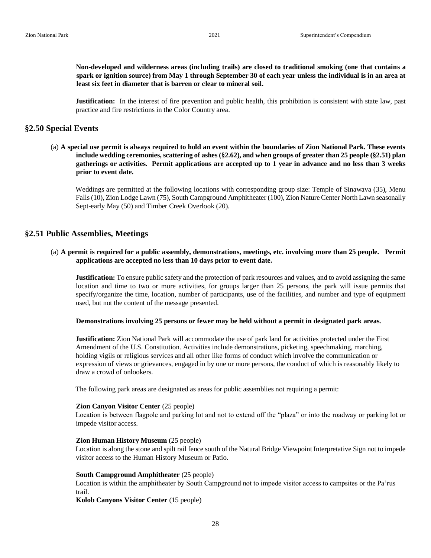**Non-developed and wilderness areas (including trails) are closed to traditional smoking (one that contains a spark or ignition source) from May 1 through September 30 of each year unless the individual is in an area at least six feet in diameter that is barren or clear to mineral soil.** 

**Justification:** In the interest of fire prevention and public health, this prohibition is consistent with state law, past practice and fire restrictions in the Color Country area.

#### **§2.50 Special Events**

(a) **A special use permit is always required to hold an event within the boundaries of Zion National Park. These events include wedding ceremonies, scattering of ashes (§2.62), and when groups of greater than 25 people (§2.51) plan gatherings or activities. Permit applications are accepted up to 1 year in advance and no less than 3 weeks prior to event date.** 

Weddings are permitted at the following locations with corresponding group size: Temple of Sinawava (35), Menu Falls (10), Zion Lodge Lawn (75), South Campground Amphitheater (100), Zion Nature Center North Lawn seasonally Sept-early May (50) and Timber Creek Overlook (20).

#### **§2.51 Public Assemblies, Meetings**

#### (a) **A permit is required for a public assembly, demonstrations, meetings, etc. involving more than 25 people. Permit applications are accepted no less than 10 days prior to event date.**

**Justification:** To ensure public safety and the protection of park resources and values, and to avoid assigning the same location and time to two or more activities, for groups larger than 25 persons, the park will issue permits that specify/organize the time, location, number of participants, use of the facilities, and number and type of equipment used, but not the content of the message presented.

**Demonstrations involving 25 persons or fewer may be held without a permit in designated park areas.** 

**Justification:** Zion National Park will accommodate the use of park land for activities protected under the First Amendment of the U.S. Constitution. Activities include demonstrations, picketing, speechmaking, marching, holding vigils or religious services and all other like forms of conduct which involve the communication or expression of views or grievances, engaged in by one or more persons, the conduct of which is reasonably likely to draw a crowd of onlookers.

The following park areas are designated as areas for public assemblies not requiring a permit:

#### **Zion Canyon Visitor Center** (25 people)

Location is between flagpole and parking lot and not to extend off the "plaza" or into the roadway or parking lot or impede visitor access.

#### **Zion Human History Museum** (25 people)

Location is along the stone and spilt rail fence south of the Natural Bridge Viewpoint Interpretative Sign not to impede visitor access to the Human History Museum or Patio.

#### **South Campground Amphitheater** (25 people)

Location is within the amphitheater by South Campground not to impede visitor access to campsites or the Pa'rus trail.

**Kolob Canyons Visitor Center** (15 people)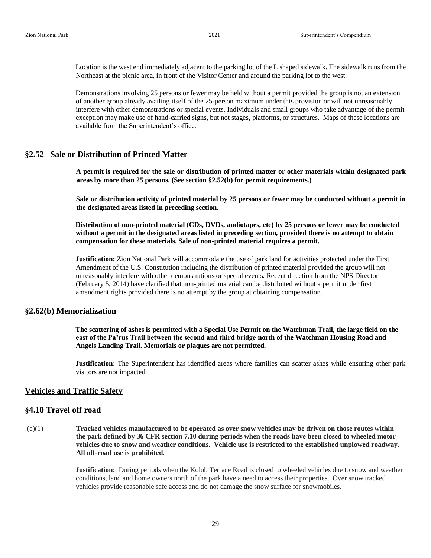Location is the west end immediately adjacent to the parking lot of the L shaped sidewalk. The sidewalk runs from the Northeast at the picnic area, in front of the Visitor Center and around the parking lot to the west.

Demonstrations involving 25 persons or fewer may be held without a permit provided the group is not an extension of another group already availing itself of the 25-person maximum under this provision or will not unreasonably interfere with other demonstrations or special events. Individuals and small groups who take advantage of the permit exception may make use of hand-carried signs, but not stages, platforms, or structures. Maps of these locations are available from the Superintendent's office.

#### **§2.52 Sale or Distribution of Printed Matter**

**A permit is required for the sale or distribution of printed matter or other materials within designated park areas by more than 25 persons. (See section §2.52(b) for permit requirements.)** 

**Sale or distribution activity of printed material by 25 persons or fewer may be conducted without a permit in the designated areas listed in preceding section.** 

**Distribution of non-printed material (CDs, DVDs, audiotapes, etc) by 25 persons or fewer may be conducted without a permit in the designated areas listed in preceding section, provided there is no attempt to obtain compensation for these materials. Sale of non-printed material requires a permit.** 

**Justification:** Zion National Park will accommodate the use of park land for activities protected under the First Amendment of the U.S. Constitution including the distribution of printed material provided the group will not unreasonably interfere with other demonstrations or special events. Recent direction from the NPS Director (February 5, 2014) have clarified that non-printed material can be distributed without a permit under first amendment rights provided there is no attempt by the group at obtaining compensation.

#### **§2.62(b) Memorialization**

**The scattering of ashes is permitted with a Special Use Permit on the Watchman Trail, the large field on the east of the Pa'rus Trail between the second and third bridge north of the Watchman Housing Road and Angels Landing Trail. Memorials or plaques are not permitted.** 

**Justification:** The Superintendent has identified areas where families can scatter ashes while ensuring other park visitors are not impacted.

#### **Vehicles and Traffic Safety**

#### **§4.10 Travel off road**

(c)(1) **Tracked vehicles manufactured to be operated as over snow vehicles may be driven on those routes within the park defined by 36 CFR section 7.10 during periods when the roads have been closed to wheeled motor vehicles due to snow and weather conditions. Vehicle use is restricted to the established unplowed roadway. All off-road use is prohibited.**

> **Justification:** During periods when the Kolob Terrace Road is closed to wheeled vehicles due to snow and weather conditions, land and home owners north of the park have a need to access their properties. Over snow tracked vehicles provide reasonable safe access and do not damage the snow surface for snowmobiles.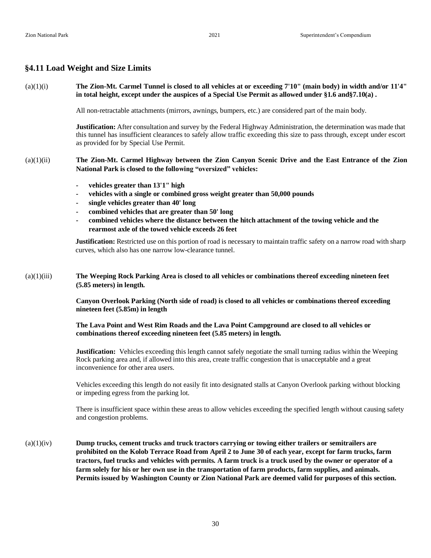# **§4.11 Load Weight and Size Limits**

| (a)(1)(i)   | The Zion-Mt. Carmel Tunnel is closed to all vehicles at or exceeding 7'10" (main body) in width and/or 11'4"<br>in total height, except under the auspices of a Special Use Permit as allowed under §1.6 and §7.10(a).                                                                                                                                                                                                                                                                                                                               |
|-------------|------------------------------------------------------------------------------------------------------------------------------------------------------------------------------------------------------------------------------------------------------------------------------------------------------------------------------------------------------------------------------------------------------------------------------------------------------------------------------------------------------------------------------------------------------|
|             | All non-retractable attachments (mirrors, awnings, bumpers, etc.) are considered part of the main body.                                                                                                                                                                                                                                                                                                                                                                                                                                              |
|             | Justification: After consultation and survey by the Federal Highway Administration, the determination was made that<br>this tunnel has insufficient clearances to safely allow traffic exceeding this size to pass through, except under escort<br>as provided for by Special Use Permit.                                                                                                                                                                                                                                                            |
| (a)(1)(ii)  | The Zion-Mt. Carmel Highway between the Zion Canyon Scenic Drive and the East Entrance of the Zion<br>National Park is closed to the following "oversized" vehicles:                                                                                                                                                                                                                                                                                                                                                                                 |
|             | vehicles greater than 13'1" high<br>$\overline{\phantom{a}}$<br>vehicles with a single or combined gross weight greater than 50,000 pounds<br>$\overline{\phantom{a}}$<br>single vehicles greater than 40' long<br>۰<br>combined vehicles that are greater than 50' long<br>combined vehicles where the distance between the hitch attachment of the towing vehicle and the<br>rearmost axle of the towed vehicle exceeds 26 feet                                                                                                                    |
|             | <b>Justification:</b> Restricted use on this portion of road is necessary to maintain traffic safety on a narrow road with sharp<br>curves, which also has one narrow low-clearance tunnel.                                                                                                                                                                                                                                                                                                                                                          |
| (a)(1)(iii) | The Weeping Rock Parking Area is closed to all vehicles or combinations thereof exceeding nineteen feet<br>(5.85 meters) in length.                                                                                                                                                                                                                                                                                                                                                                                                                  |
|             | Canyon Overlook Parking (North side of road) is closed to all vehicles or combinations thereof exceeding<br>nineteen feet (5.85m) in length                                                                                                                                                                                                                                                                                                                                                                                                          |
|             | The Lava Point and West Rim Roads and the Lava Point Campground are closed to all vehicles or<br>combinations thereof exceeding nineteen feet (5.85 meters) in length.                                                                                                                                                                                                                                                                                                                                                                               |
|             | <b>Justification:</b> Vehicles exceeding this length cannot safely negotiate the small turning radius within the Weeping<br>Rock parking area and, if allowed into this area, create traffic congestion that is unacceptable and a great<br>inconvenience for other area users.                                                                                                                                                                                                                                                                      |
|             | Vehicles exceeding this length do not easily fit into designated stalls at Canyon Overlook parking without blocking<br>or impeding egress from the parking lot.                                                                                                                                                                                                                                                                                                                                                                                      |
|             | There is insufficient space within these areas to allow vehicles exceeding the specified length without causing safety<br>and congestion problems.                                                                                                                                                                                                                                                                                                                                                                                                   |
| (a)(1)(iv)  | Dump trucks, cement trucks and truck tractors carrying or towing either trailers or semitrailers are<br>prohibited on the Kolob Terrace Road from April 2 to June 30 of each year, except for farm trucks, farm<br>tractors, fuel trucks and vehicles with permits. A farm truck is a truck used by the owner or operator of a<br>farm solely for his or her own use in the transportation of farm products, farm supplies, and animals.<br>Permits issued by Washington County or Zion National Park are deemed valid for purposes of this section. |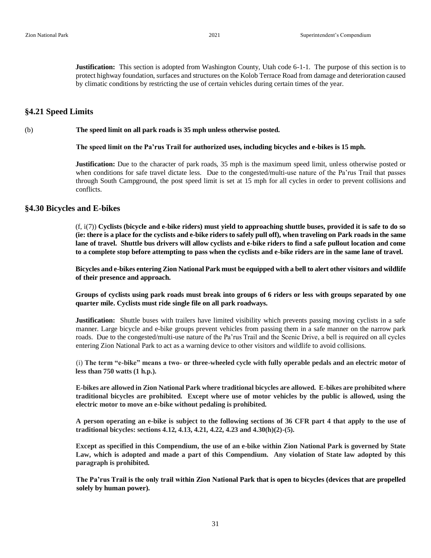**Justification:** This section is adopted from Washington County, Utah code 6-1-1. The purpose of this section is to protect highway foundation, surfaces and structures on the Kolob Terrace Road from damage and deterioration caused by climatic conditions by restricting the use of certain vehicles during certain times of the year.

#### **§4.21 Speed Limits**

#### (b) **The speed limit on all park roads is 35 mph unless otherwise posted.**

 **The speed limit on the Pa'rus Trail for authorized uses, including bicycles and e-bikes is 15 mph.**

**Justification:** Due to the character of park roads, 35 mph is the maximum speed limit, unless otherwise posted or when conditions for safe travel dictate less. Due to the congested/multi-use nature of the Pa'rus Trail that passes through South Campground, the post speed limit is set at 15 mph for all cycles in order to prevent collisions and conflicts.

#### **§4.30 Bicycles and E-bikes**

(f, i(7)) **Cyclists (bicycle and e-bike riders) must yield to approaching shuttle buses, provided it is safe to do so (ie: there is a place for the cyclists and e-bike riders to safely pull off), when traveling on Park roads in the same lane of travel. Shuttle bus drivers will allow cyclists and e-bike riders to find a safe pullout location and come to a complete stop before attempting to pass when the cyclists and e-bike riders are in the same lane of travel.** 

**Bicycles and e-bikes entering Zion National Park must be equipped with a bell to alert other visitors and wildlife of their presence and approach.**

**Groups of cyclists using park roads must break into groups of 6 riders or less with groups separated by one quarter mile. Cyclists must ride single file on all park roadways.** 

**Justification:** Shuttle buses with trailers have limited visibility which prevents passing moving cyclists in a safe manner. Large bicycle and e-bike groups prevent vehicles from passing them in a safe manner on the narrow park roads. Due to the congested/multi-use nature of the Pa'rus Trail and the Scenic Drive, a bell is required on all cycles entering Zion National Park to act as a warning device to other visitors and wildlife to avoid collisions.

(i) **The term "e-bike" means a two- or three-wheeled cycle with fully operable pedals and an electric motor of less than 750 watts (1 h.p.).** 

**E-bikes are allowed in Zion National Park where traditional bicycles are allowed. E-bikes are prohibited where traditional bicycles are prohibited. Except where use of motor vehicles by the public is allowed, using the electric motor to move an e-bike without pedaling is prohibited.** 

**A person operating an e-bike is subject to the following sections of 36 CFR part 4 that apply to the use of traditional bicycles: sections 4.12, 4.13, 4.21, 4.22, 4.23 and 4.30(h)(2)-(5).** 

**Except as specified in this Compendium, the use of an e-bike within Zion National Park is governed by State Law, which is adopted and made a part of this Compendium. Any violation of State law adopted by this paragraph is prohibited.** 

**The Pa'rus Trail is the only trail within Zion National Park that is open to bicycles (devices that are propelled solely by human power).**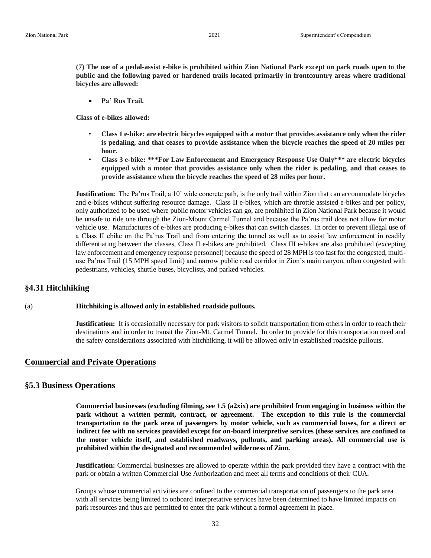**(7) The use of a pedal-assist e-bike is prohibited within Zion National Park except on park roads open to the public and the following paved or hardened trails located primarily in frontcountry areas where traditional bicycles are allowed:** 

• **Pa' Rus Trail.** 

**Class of e-bikes allowed:** 

- **Class 1 e-bike: are electric bicycles equipped with a motor that provides assistance only when the rider is pedaling, and that ceases to provide assistance when the bicycle reaches the speed of 20 miles per hour.**
- **Class 3 e-bike: \*\*\*For Law Enforcement and Emergency Response Use Only\*\*\* are electric bicycles equipped with a motor that provides assistance only when the rider is pedaling, and that ceases to provide assistance when the bicycle reaches the speed of 28 miles per hour.**

**Justification:** The Pa'rus Trail, a 10' wide concrete path, is the only trail within Zion that can accommodate bicycles and e-bikes without suffering resource damage. Class II e-bikes, which are throttle assisted e-bikes and per policy, only authorized to be used where public motor vehicles can go, are prohibited in Zion National Park because it would be unsafe to ride one through the Zion-Mount Carmel Tunnel and because the Pa'rus trail does not allow for motor vehicle use. Manufactures of e-bikes are producing e-bikes that can switch classes. In order to prevent illegal use of a Class II ebike on the Pa'rus Trail and from entering the tunnel as well as to assist law enforcement in readily differentiating between the classes, Class II e-bikes are prohibited. Class III e-bikes are also prohibited (excepting law enforcement and emergency response personnel) because the speed of 28 MPH is too fast for the congested, multiuse Pa'rus Trail (15 MPH speed limit) and narrow public road corridor in Zion's main canyon, often congested with pedestrians, vehicles, shuttle buses, bicyclists, and parked vehicles.

#### **§4.31 Hitchhiking**

#### (a) **Hitchhiking is allowed only in established roadside pullouts.**

**Justification:** It is occasionally necessary for park visitors to solicit transportation from others in order to reach their destinations and in order to transit the Zion-Mt. Carmel Tunnel. In order to provide for this transportation need and the safety considerations associated with hitchhiking, it will be allowed only in established roadside pullouts.

#### **Commercial and Private Operations**

#### **§5.3 Business Operations**

**Commercial businesses (excluding filming, see 1.5 (a2xix) are prohibited from engaging in business within the park without a written permit, contract, or agreement. The exception to this rule is the commercial transportation to the park area of passengers by motor vehicle, such as commercial buses, for a direct or indirect fee with no services provided except for on-board interpretive services (these services are confined to the motor vehicle itself, and established roadways, pullouts, and parking areas). All commercial use is prohibited within the designated and recommended wilderness of Zion.**

**Justification:** Commercial businesses are allowed to operate within the park provided they have a contract with the park or obtain a written Commercial Use Authorization and meet all terms and conditions of their CUA.

Groups whose commercial activities are confined to the commercial transportation of passengers to the park area with all services being limited to onboard interpretative services have been determined to have limited impacts on park resources and thus are permitted to enter the park without a formal agreement in place.